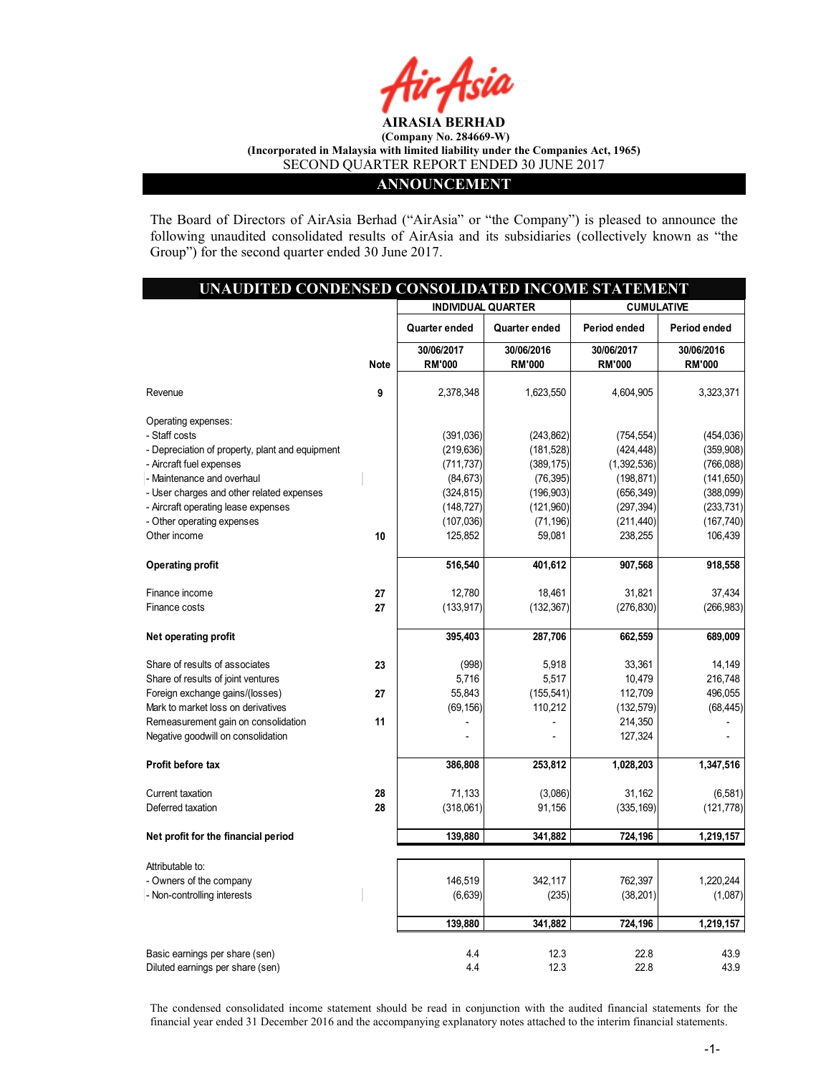

#### ANNOUNCEMENT

The Board of Directors of AirAsia Berhad ("AirAsia" or "the Company") is pleased to announce the following unaudited consolidated results of AirAsia and its subsidiaries (collectively known as "the Group") for the second quarter ended 30 June 2017.

| UNAUDITED CONDENSED CONSOLIDATED INCOME STATEMENT |             |                             |                             |                             |                             |
|---------------------------------------------------|-------------|-----------------------------|-----------------------------|-----------------------------|-----------------------------|
|                                                   |             | <b>INDIVIDUAL QUARTER</b>   |                             | <b>CUMULATIVE</b>           |                             |
|                                                   |             | Quarter ended               | Quarter ended               | Period ended                | Period ended                |
|                                                   | <b>Note</b> | 30/06/2017<br><b>RM'000</b> | 30/06/2016<br><b>RM'000</b> | 30/06/2017<br><b>RM'000</b> | 30/06/2016<br><b>RM'000</b> |
| Revenue                                           | 9           | 2,378,348                   | 1,623,550                   | 4,604,905                   | 3,323,371                   |
| Operating expenses:                               |             |                             |                             |                             |                             |
| - Staff costs                                     |             | (391,036)                   | (243, 862)                  | (754, 554)                  | (454, 036)                  |
| - Depreciation of property, plant and equipment   |             | (219, 636)                  | (181, 528)                  | (424, 448)                  | (359, 908)                  |
| - Aircraft fuel expenses                          |             | (711, 737)                  | (389, 175)                  | (1,392,536)                 | (766, 088)                  |
| - Maintenance and overhaul                        |             | (84, 673)                   | (76, 395)                   | (198, 871)                  | (141, 650)                  |
| - User charges and other related expenses         |             | (324, 815)                  | (196, 903)                  | (656, 349)                  | (388,099)                   |
| - Aircraft operating lease expenses               |             | (148, 727)                  | (121, 960)                  | (297, 394)                  | (233, 731)                  |
| - Other operating expenses                        |             | (107, 036)                  | (71, 196)                   | (211, 440)                  | (167, 740)                  |
| Other income                                      | 10          | 125,852                     | 59,081                      | 238,255                     | 106,439                     |
| <b>Operating profit</b>                           |             | 516,540                     | 401,612                     | 907,568                     | 918,558                     |
| Finance income                                    | 27          | 12,780                      | 18,461                      | 31,821                      | 37,434                      |
| Finance costs                                     | 27          | (133, 917)                  | (132, 367)                  | (276, 830)                  | (266, 983)                  |
| Net operating profit                              |             | 395,403                     | 287,706                     | 662,559                     | 689,009                     |
| Share of results of associates                    | 23          | (998)                       | 5,918                       | 33,361                      | 14,149                      |
| Share of results of joint ventures                |             | 5,716                       | 5,517                       | 10,479                      | 216,748                     |
| Foreign exchange gains/(losses)                   | 27          | 55,843                      | (155, 541)                  | 112,709                     | 496,055                     |
| Mark to market loss on derivatives                |             | (69, 156)                   | 110,212                     | (132, 579)                  | (68, 445)                   |
| Remeasurement gain on consolidation               | 11          |                             |                             | 214,350                     |                             |
| Negative goodwill on consolidation                |             | $\overline{a}$              |                             | 127,324                     |                             |
| Profit before tax                                 |             | 386,808                     | 253,812                     | 1,028,203                   | 1,347,516                   |
| Current taxation                                  | 28          | 71,133                      | (3,086)                     | 31,162                      | (6, 581)                    |
| Deferred taxation                                 | 28          | (318,061)                   | 91,156                      | (335, 169)                  | (121, 778)                  |
| Net profit for the financial period               |             | 139,880                     | 341,882                     | 724,196                     | 1,219,157                   |
|                                                   |             |                             |                             |                             |                             |
| Attributable to:                                  |             |                             |                             |                             |                             |
| - Owners of the company                           |             | 146,519                     | 342,117                     | 762,397                     | 1,220,244                   |
| - Non-controlling interests                       |             | (6,639)                     | (235)                       | (38, 201)                   | (1,087)                     |
|                                                   |             | 139,880                     | 341,882                     | 724,196                     | 1,219,157                   |
| Basic earnings per share (sen)                    |             | 4.4                         | 12.3                        | 22.8                        | 43.9                        |
| Diluted earnings per share (sen)                  |             | 4.4                         | 12.3                        | 22.8                        | 43.9                        |

The condensed consolidated income statement should be read in conjunction with the audited financial statements for the financial year ended 31 December 2016 and the accompanying explanatory notes attached to the interim financial statements.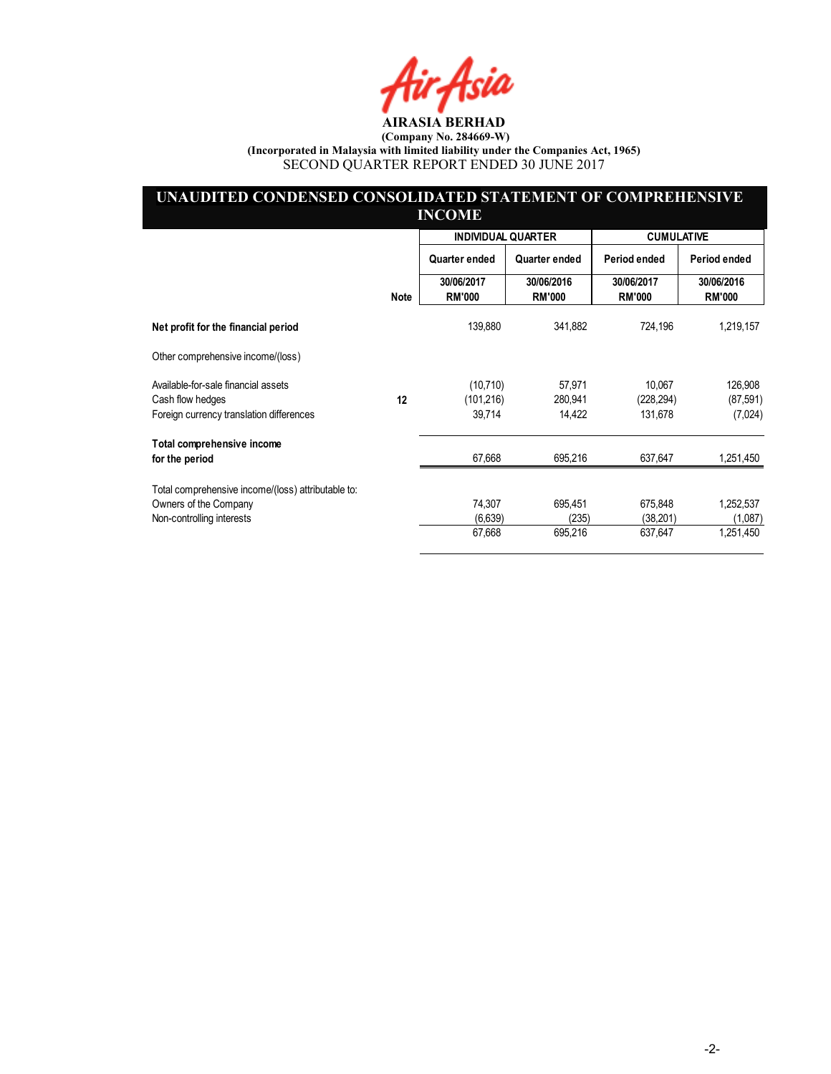Air Asia

# UNAUDITED CONDENSED CONSOLIDATED STATEMENT OF COMPREHENSIVE INCOME

|                                                    |      | <b>INDIVIDUAL QUARTER</b>   |                             | <b>CUMULATIVE</b>           |                             |
|----------------------------------------------------|------|-----------------------------|-----------------------------|-----------------------------|-----------------------------|
|                                                    |      | Quarter ended               | Quarter ended               | Period ended                | Period ended                |
|                                                    | Note | 30/06/2017<br><b>RM'000</b> | 30/06/2016<br><b>RM'000</b> | 30/06/2017<br><b>RM'000</b> | 30/06/2016<br><b>RM'000</b> |
| Net profit for the financial period                |      | 139,880                     | 341,882                     | 724,196                     | 1,219,157                   |
| Other comprehensive income/(loss)                  |      |                             |                             |                             |                             |
| Available-for-sale financial assets                |      | (10, 710)                   | 57,971                      | 10.067                      | 126,908                     |
| Cash flow hedges                                   | 12   | (101, 216)                  | 280,941                     | (228, 294)                  | (87, 591)                   |
| Foreign currency translation differences           |      | 39,714                      | 14,422                      | 131,678                     | (7,024)                     |
| Total comprehensive income                         |      |                             |                             |                             |                             |
| for the period                                     |      | 67,668                      | 695,216                     | 637,647                     | 1,251,450                   |
| Total comprehensive income/(loss) attributable to: |      |                             |                             |                             |                             |
| Owners of the Company                              |      | 74,307                      | 695,451                     | 675,848                     | 1,252,537                   |
| Non-controlling interests                          |      | (6,639)                     | (235)                       | (38, 201)                   | (1,087)                     |
|                                                    |      | 67,668                      | 695,216                     | 637,647                     | 1,251,450                   |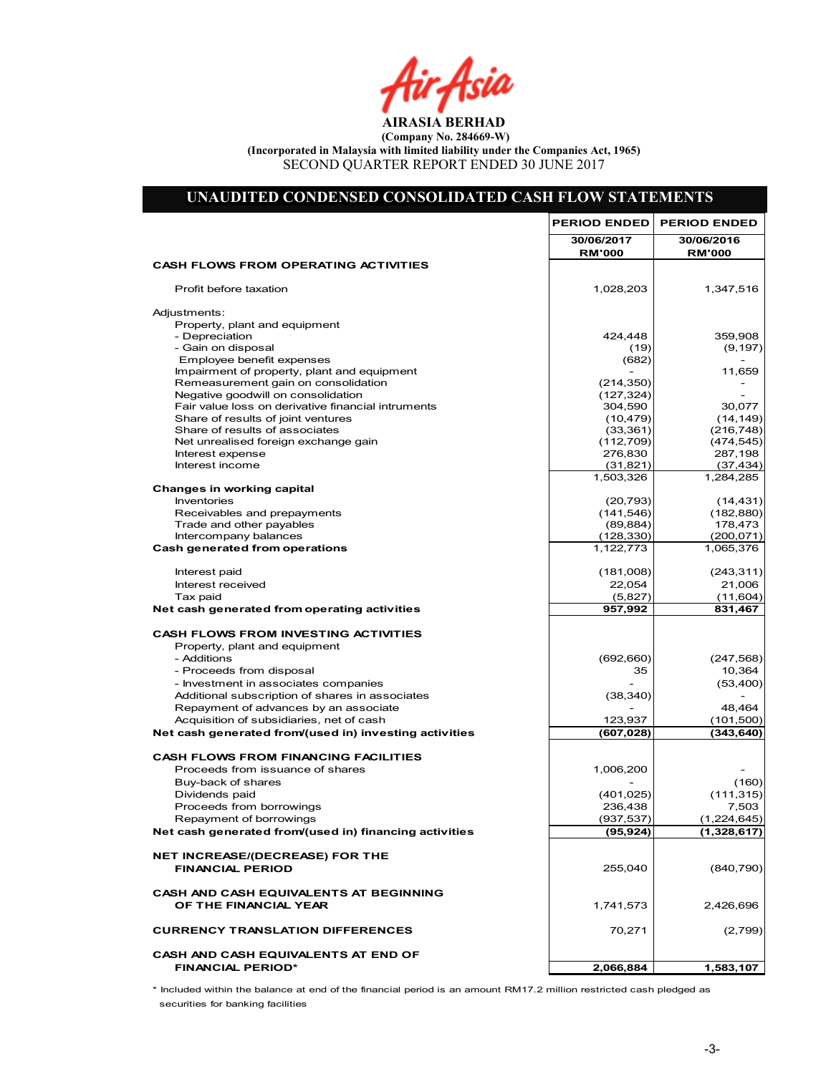Air Asia

# UNAUDITED CONDENSED CONSOLIDATED CASH FLOW STATEMENTS

|                                                                          | <b>PERIOD ENDED</b>         | <b>PERIOD ENDED</b>         |
|--------------------------------------------------------------------------|-----------------------------|-----------------------------|
|                                                                          | 30/06/2017<br><b>RM'000</b> | 30/06/2016<br><b>RM'000</b> |
| <b>CASH FLOWS FROM OPERATING ACTIVITIES</b>                              |                             |                             |
| Profit before taxation                                                   | 1,028,203                   | 1,347,516                   |
| Adjustments:                                                             |                             |                             |
| Property, plant and equipment                                            |                             |                             |
| - Depreciation                                                           | 424,448                     | 359,908                     |
| - Gain on disposal                                                       | (19)                        | (9, 197)                    |
| Employee benefit expenses<br>Impairment of property, plant and equipment | (682)                       | 11,659                      |
| Remeasurement gain on consolidation                                      | (214, 350)                  |                             |
| Negative goodwill on consolidation                                       | (127, 324)                  |                             |
| Fair value loss on derivative financial intruments                       | 304,590                     | 30,077                      |
| Share of results of joint ventures                                       | (10, 479)                   | (14, 149)                   |
| Share of results of associates                                           | (33, 361)                   | (216, 748)                  |
| Net unrealised foreign exchange gain                                     | (112, 709)                  | (474, 545)                  |
| Interest expense                                                         | 276,830                     | 287,198                     |
| Interest income                                                          | (31, 821)                   | (37, 434)                   |
|                                                                          | 1,503,326                   | 1,284,285                   |
| Changes in working capital                                               |                             |                             |
| Inventories                                                              | (20, 793)                   | (14, 431)                   |
| Receivables and prepayments                                              | (141, 546)                  | (182, 880)                  |
| Trade and other payables<br>Intercompany balances                        | (89, 884)<br>(128, 330)     | 178,473<br>(200, 071)       |
| <b>Cash generated from operations</b>                                    | 1,122,773                   | 1,065,376                   |
|                                                                          |                             |                             |
| Interest paid                                                            | (181,008)                   | (243, 311)                  |
| Interest received                                                        | 22,054                      | 21,006                      |
| Tax paid                                                                 | (5,827)                     | (11,604)                    |
| Net cash generated from operating activities                             | 957,992                     | 831,467                     |
| <b>CASH FLOWS FROM INVESTING ACTIVITIES</b>                              |                             |                             |
| Property, plant and equipment                                            |                             |                             |
| - Additions                                                              | (692, 660)                  | (247, 568)                  |
| - Proceeds from disposal                                                 | 35                          | 10,364                      |
| - Investment in associates companies                                     |                             | (53, 400)                   |
| Additional subscription of shares in associates                          | (38, 340)                   |                             |
| Repayment of advances by an associate                                    |                             | 48,464                      |
| Acquisition of subsidiaries, net of cash                                 | 123,937                     | (101, 500)                  |
| Net cash generated from/(used in) investing activities                   | (607, 028)                  | (343, 640)                  |
| <b>CASH FLOWS FROM FINANCING FACILITIES</b>                              |                             |                             |
| Proceeds from issuance of shares                                         | 1,006,200                   |                             |
| Buy-back of shares                                                       |                             | (160)                       |
| Dividends paid                                                           | (401, 025)                  | (111, 315)                  |
| Proceeds from borrowings                                                 | 236,438                     | 7,503                       |
| Repayment of borrowings                                                  | (937, 537)                  | (1,224,645)                 |
| Net cash generated from/(used in) financing activities                   | (95, 924)                   | (1,328,617)                 |
|                                                                          |                             |                             |
| <b>NET INCREASE/(DECREASE) FOR THE</b><br><b>FINANCIAL PERIOD</b>        |                             |                             |
|                                                                          | 255,040                     | (840, 790)                  |
| <b>CASH AND CASH EQUIVALENTS AT BEGINNING</b>                            |                             |                             |
| OF THE FINANCIAL YEAR                                                    | 1,741,573                   | 2,426,696                   |
|                                                                          |                             |                             |
| <b>CURRENCY TRANSLATION DIFFERENCES</b>                                  | 70,271                      | (2,799)                     |
| CASH AND CASH EQUIVALENTS AT END OF                                      |                             |                             |
| <b>FINANCIAL PERIOD*</b>                                                 | 2,066,884                   | 1,583,107                   |
|                                                                          |                             |                             |

\* Included within the balance at end of the financial period is an amount RM17.2 million restricted cash pledged as securities for banking facilities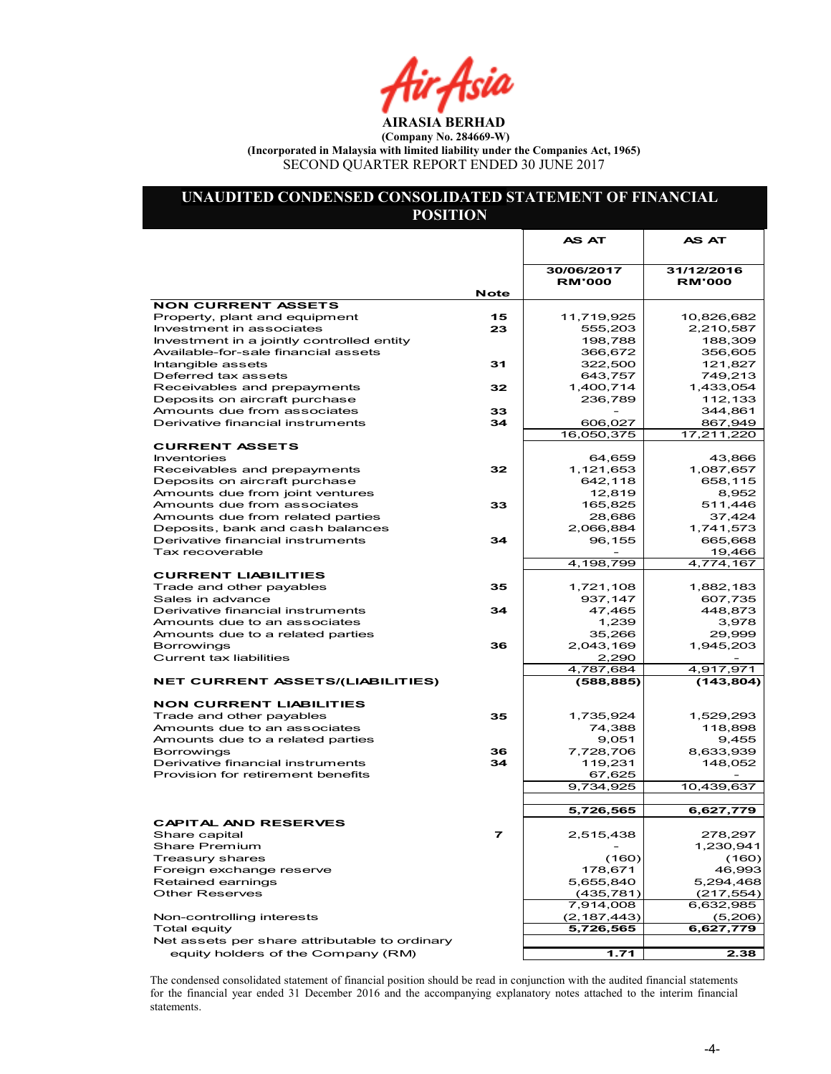hir Asia

# UNAUDITED CONDENSED CONSOLIDATED STATEMENT OF FINANCIAL POSITION

| 31/12/2016<br>30/06/2017<br><b>RM'000</b><br><b>RM'000</b><br><b>Note</b><br><b>NON CURRENT ASSETS</b><br>Property, plant and equipment<br>15<br>11,719,925<br>10,826,682<br>23<br>Investment in associates<br>555,203<br>2,210,587<br>188,309<br>Investment in a jointly controlled entity<br>198,788<br>Available-for-sale financial assets<br>366,672<br>356,605<br>31<br>322,500<br>Intangible assets<br>121,827<br>Deferred tax assets<br>643,757<br>749,213<br>32<br>Receivables and prepayments<br>1,400,714<br>1,433,054<br>Deposits on aircraft purchase<br>236,789<br>112,133<br>Amounts due from associates<br>33<br>344,861<br>34<br>867,949<br>Derivative financial instruments<br>606,027<br>16,050,375<br>17,211,220<br><b>CURRENT ASSETS</b><br>64,659<br><b>Inventories</b><br>43,866<br>Receivables and prepayments<br>32<br>1,121,653<br>1,087,657<br>Deposits on aircraft purchase<br>642,118<br>658,115<br>Amounts due from joint ventures<br>12,819 |         |
|---------------------------------------------------------------------------------------------------------------------------------------------------------------------------------------------------------------------------------------------------------------------------------------------------------------------------------------------------------------------------------------------------------------------------------------------------------------------------------------------------------------------------------------------------------------------------------------------------------------------------------------------------------------------------------------------------------------------------------------------------------------------------------------------------------------------------------------------------------------------------------------------------------------------------------------------------------------------------|---------|
|                                                                                                                                                                                                                                                                                                                                                                                                                                                                                                                                                                                                                                                                                                                                                                                                                                                                                                                                                                           |         |
|                                                                                                                                                                                                                                                                                                                                                                                                                                                                                                                                                                                                                                                                                                                                                                                                                                                                                                                                                                           |         |
|                                                                                                                                                                                                                                                                                                                                                                                                                                                                                                                                                                                                                                                                                                                                                                                                                                                                                                                                                                           |         |
|                                                                                                                                                                                                                                                                                                                                                                                                                                                                                                                                                                                                                                                                                                                                                                                                                                                                                                                                                                           |         |
|                                                                                                                                                                                                                                                                                                                                                                                                                                                                                                                                                                                                                                                                                                                                                                                                                                                                                                                                                                           |         |
|                                                                                                                                                                                                                                                                                                                                                                                                                                                                                                                                                                                                                                                                                                                                                                                                                                                                                                                                                                           |         |
|                                                                                                                                                                                                                                                                                                                                                                                                                                                                                                                                                                                                                                                                                                                                                                                                                                                                                                                                                                           |         |
|                                                                                                                                                                                                                                                                                                                                                                                                                                                                                                                                                                                                                                                                                                                                                                                                                                                                                                                                                                           |         |
|                                                                                                                                                                                                                                                                                                                                                                                                                                                                                                                                                                                                                                                                                                                                                                                                                                                                                                                                                                           |         |
|                                                                                                                                                                                                                                                                                                                                                                                                                                                                                                                                                                                                                                                                                                                                                                                                                                                                                                                                                                           |         |
|                                                                                                                                                                                                                                                                                                                                                                                                                                                                                                                                                                                                                                                                                                                                                                                                                                                                                                                                                                           |         |
|                                                                                                                                                                                                                                                                                                                                                                                                                                                                                                                                                                                                                                                                                                                                                                                                                                                                                                                                                                           |         |
|                                                                                                                                                                                                                                                                                                                                                                                                                                                                                                                                                                                                                                                                                                                                                                                                                                                                                                                                                                           |         |
|                                                                                                                                                                                                                                                                                                                                                                                                                                                                                                                                                                                                                                                                                                                                                                                                                                                                                                                                                                           |         |
|                                                                                                                                                                                                                                                                                                                                                                                                                                                                                                                                                                                                                                                                                                                                                                                                                                                                                                                                                                           |         |
|                                                                                                                                                                                                                                                                                                                                                                                                                                                                                                                                                                                                                                                                                                                                                                                                                                                                                                                                                                           |         |
|                                                                                                                                                                                                                                                                                                                                                                                                                                                                                                                                                                                                                                                                                                                                                                                                                                                                                                                                                                           |         |
|                                                                                                                                                                                                                                                                                                                                                                                                                                                                                                                                                                                                                                                                                                                                                                                                                                                                                                                                                                           |         |
|                                                                                                                                                                                                                                                                                                                                                                                                                                                                                                                                                                                                                                                                                                                                                                                                                                                                                                                                                                           | 8,952   |
| 33<br>511,446<br>Amounts due from associates<br>165,825                                                                                                                                                                                                                                                                                                                                                                                                                                                                                                                                                                                                                                                                                                                                                                                                                                                                                                                   |         |
| Amounts due from related parties<br>28,686<br>37,424                                                                                                                                                                                                                                                                                                                                                                                                                                                                                                                                                                                                                                                                                                                                                                                                                                                                                                                      |         |
| Deposits, bank and cash balances<br>2,066,884<br>1,741,573                                                                                                                                                                                                                                                                                                                                                                                                                                                                                                                                                                                                                                                                                                                                                                                                                                                                                                                |         |
| 34<br>Derivative financial instruments<br>96,155<br>665,668                                                                                                                                                                                                                                                                                                                                                                                                                                                                                                                                                                                                                                                                                                                                                                                                                                                                                                               |         |
| Tax recoverable<br>19,466                                                                                                                                                                                                                                                                                                                                                                                                                                                                                                                                                                                                                                                                                                                                                                                                                                                                                                                                                 |         |
| 4,198,799<br>4,774,167                                                                                                                                                                                                                                                                                                                                                                                                                                                                                                                                                                                                                                                                                                                                                                                                                                                                                                                                                    |         |
| <b>CURRENT LIABILITIES</b>                                                                                                                                                                                                                                                                                                                                                                                                                                                                                                                                                                                                                                                                                                                                                                                                                                                                                                                                                |         |
| Trade and other payables<br>1,721,108<br>1,882,183<br>35                                                                                                                                                                                                                                                                                                                                                                                                                                                                                                                                                                                                                                                                                                                                                                                                                                                                                                                  |         |
| 937,147<br>607,735<br>Sales in advance                                                                                                                                                                                                                                                                                                                                                                                                                                                                                                                                                                                                                                                                                                                                                                                                                                                                                                                                    |         |
| 47,465<br>448,873<br>Derivative financial instruments<br>34                                                                                                                                                                                                                                                                                                                                                                                                                                                                                                                                                                                                                                                                                                                                                                                                                                                                                                               |         |
| Amounts due to an associates<br>1,239                                                                                                                                                                                                                                                                                                                                                                                                                                                                                                                                                                                                                                                                                                                                                                                                                                                                                                                                     | 3,978   |
| Amounts due to a related parties<br>35,266<br>29,999                                                                                                                                                                                                                                                                                                                                                                                                                                                                                                                                                                                                                                                                                                                                                                                                                                                                                                                      |         |
| 36<br>2,043,169<br>1,945,203<br><b>Borrowings</b><br><b>Current tax liabilities</b>                                                                                                                                                                                                                                                                                                                                                                                                                                                                                                                                                                                                                                                                                                                                                                                                                                                                                       |         |
| 2,290<br>4,787,684<br>4,917,971                                                                                                                                                                                                                                                                                                                                                                                                                                                                                                                                                                                                                                                                                                                                                                                                                                                                                                                                           |         |
| (143, 804)<br><b>NET CURRENT ASSETS/(LIABILITIES)</b><br>(588, 885)                                                                                                                                                                                                                                                                                                                                                                                                                                                                                                                                                                                                                                                                                                                                                                                                                                                                                                       |         |
|                                                                                                                                                                                                                                                                                                                                                                                                                                                                                                                                                                                                                                                                                                                                                                                                                                                                                                                                                                           |         |
| <b>NON CURRENT LIABILITIES</b>                                                                                                                                                                                                                                                                                                                                                                                                                                                                                                                                                                                                                                                                                                                                                                                                                                                                                                                                            |         |
| 35<br>1,529,293<br>Trade and other payables<br>1,735,924                                                                                                                                                                                                                                                                                                                                                                                                                                                                                                                                                                                                                                                                                                                                                                                                                                                                                                                  |         |
| 118,898<br>Amounts due to an associates<br>74,388                                                                                                                                                                                                                                                                                                                                                                                                                                                                                                                                                                                                                                                                                                                                                                                                                                                                                                                         |         |
| Amounts due to a related parties<br>9,051                                                                                                                                                                                                                                                                                                                                                                                                                                                                                                                                                                                                                                                                                                                                                                                                                                                                                                                                 | 9,455   |
| <b>Borrowings</b><br>7,728,706<br>8,633,939<br>36                                                                                                                                                                                                                                                                                                                                                                                                                                                                                                                                                                                                                                                                                                                                                                                                                                                                                                                         |         |
| Derivative financial instruments<br>34<br>119,231<br>148,052                                                                                                                                                                                                                                                                                                                                                                                                                                                                                                                                                                                                                                                                                                                                                                                                                                                                                                              |         |
| Provision for retirement benefits<br>67,625                                                                                                                                                                                                                                                                                                                                                                                                                                                                                                                                                                                                                                                                                                                                                                                                                                                                                                                               |         |
| 9,734,925<br>10,439,637                                                                                                                                                                                                                                                                                                                                                                                                                                                                                                                                                                                                                                                                                                                                                                                                                                                                                                                                                   |         |
|                                                                                                                                                                                                                                                                                                                                                                                                                                                                                                                                                                                                                                                                                                                                                                                                                                                                                                                                                                           |         |
| 5,726,565<br>6,627,779                                                                                                                                                                                                                                                                                                                                                                                                                                                                                                                                                                                                                                                                                                                                                                                                                                                                                                                                                    |         |
| <b>CAPITAL AND RESERVES</b>                                                                                                                                                                                                                                                                                                                                                                                                                                                                                                                                                                                                                                                                                                                                                                                                                                                                                                                                               |         |
| $\overline{ }$<br>2,515,438<br>278,297<br>Share capital                                                                                                                                                                                                                                                                                                                                                                                                                                                                                                                                                                                                                                                                                                                                                                                                                                                                                                                   |         |
| 1,230,941<br>Share Premium<br>(160)<br>Treasury shares                                                                                                                                                                                                                                                                                                                                                                                                                                                                                                                                                                                                                                                                                                                                                                                                                                                                                                                    | (160)   |
| 178,671<br>Foreign exchange reserve                                                                                                                                                                                                                                                                                                                                                                                                                                                                                                                                                                                                                                                                                                                                                                                                                                                                                                                                       | 46,993  |
| Retained earnings<br>5,655,840<br>5,294,468                                                                                                                                                                                                                                                                                                                                                                                                                                                                                                                                                                                                                                                                                                                                                                                                                                                                                                                               |         |
| <b>Other Reserves</b><br>(435, 781)<br>(217, 554)                                                                                                                                                                                                                                                                                                                                                                                                                                                                                                                                                                                                                                                                                                                                                                                                                                                                                                                         |         |
| 7,914,008<br>6,632,985                                                                                                                                                                                                                                                                                                                                                                                                                                                                                                                                                                                                                                                                                                                                                                                                                                                                                                                                                    |         |
| Non-controlling interests<br>(2, 187, 443)                                                                                                                                                                                                                                                                                                                                                                                                                                                                                                                                                                                                                                                                                                                                                                                                                                                                                                                                | (5,206) |
| 5,726,565<br>6,627,779<br><b>Total equity</b>                                                                                                                                                                                                                                                                                                                                                                                                                                                                                                                                                                                                                                                                                                                                                                                                                                                                                                                             |         |
| Net assets per share attributable to ordinary                                                                                                                                                                                                                                                                                                                                                                                                                                                                                                                                                                                                                                                                                                                                                                                                                                                                                                                             |         |
| equity holders of the Company (RM)<br>1.71                                                                                                                                                                                                                                                                                                                                                                                                                                                                                                                                                                                                                                                                                                                                                                                                                                                                                                                                | 2.38    |

The condensed consolidated statement of financial position should be read in conjunction with the audited financial statements for the financial year ended 31 December 2016 and the accompanying explanatory notes attached to the interim financial statements.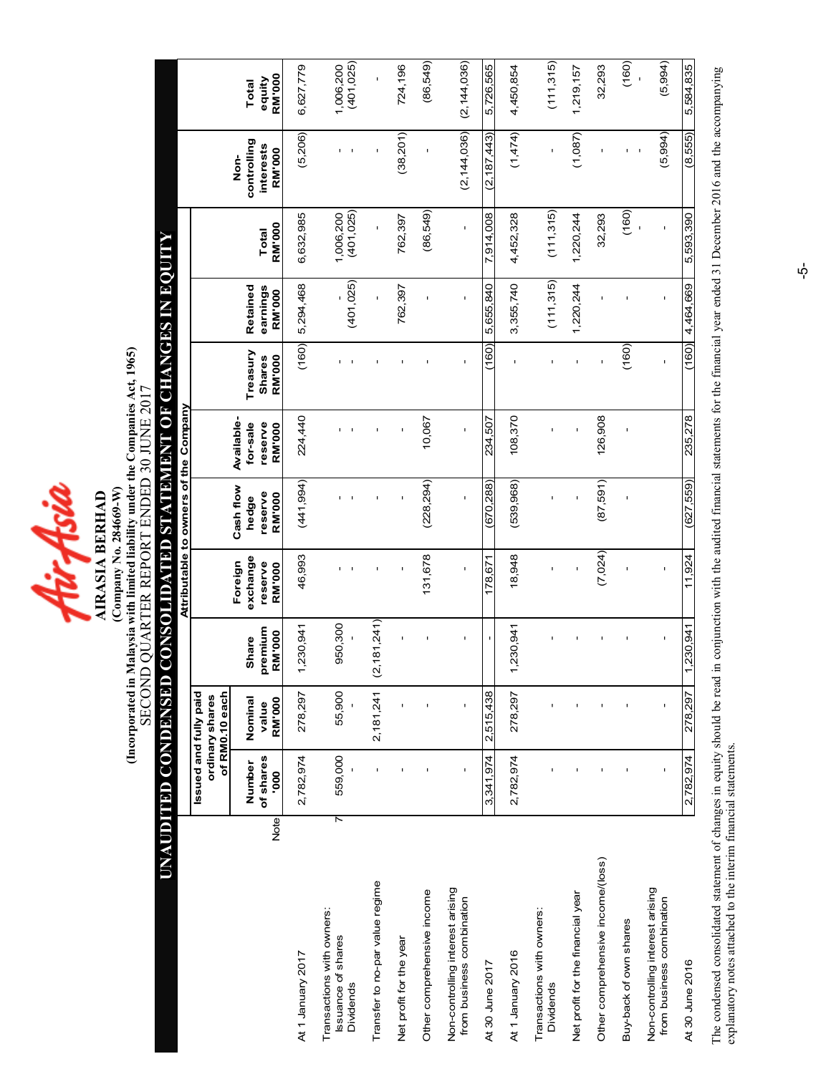4ir Asia **AIRASIA BERHAD** 

(Incorporated in Malaysia with limited liability under the Companies Act, 1965) (Incorporated in Malaysia with limited liability under the Companies Act, 1965) SECOND QUARTER REPORT ENDED 30 JUNE 2017 SECOND QUARTER REPORT ENDED 30 JUNE 2017 (Company No. 284669-W) (Company No. 284669-W) AIRASIA BERHAD

# UNAUDITED CONDENSED CONSOLIDATED STATEMENT OF CHANGES IN EQUITY UNAUDITED CONDENSED CONSOLIDATED STATEMENT OF CHANGES IN EQUIT

|                                                                    |                  |                                          |                           |                   | Attributable to owners of the Company |                          |                                |                            |                         |                     |                         |
|--------------------------------------------------------------------|------------------|------------------------------------------|---------------------------|-------------------|---------------------------------------|--------------------------|--------------------------------|----------------------------|-------------------------|---------------------|-------------------------|
|                                                                    |                  | Issued and fully paid<br>ordinary shares |                           |                   |                                       |                          |                                |                            |                         |                     |                         |
|                                                                    |                  | of RM0.10 each                           |                           | Foreign           | Cash flow                             | Available-               |                                |                            |                         | don-                |                         |
|                                                                    | Number           | Nominal                                  | Share                     | exchange          | hedge                                 | for-sale                 | Treasury                       | Retained                   |                         | controlling         | Total                   |
| <b>Note</b>                                                        | of shares<br>000 | <b>RM'000</b><br>value                   | remium<br>RM'000<br>ō,    | reserve<br>RM'000 | reserve<br>RM'000                     | reserve<br><b>RM'000</b> | <b>RM'000</b><br><b>Shares</b> | earnings<br><b>RM</b> '000 | RM'000<br>Total         | interests<br>RM'000 | <b>RM'000</b><br>equity |
| At 1 January 2017                                                  | 2,782,974        | 278,297                                  | 230,941<br>$\overline{ }$ | 46,993            | (441, 994)                            | 224,440                  | (160)                          | 5,294,468                  | 6,632,985               | (5,206)             | 6,627,779               |
| Transactions with owners:<br>ssuance of shares<br><b>Dividends</b> | 559,000<br>7     | 55,900                                   | 950,300                   |                   |                                       |                          |                                | (401, 025)                 | (401, 025)<br>1,006,200 |                     | (401, 025)<br>1,006,200 |
| Transfer to no-par value regime                                    |                  | 2,181,241                                | (2, 181, 241)             |                   |                                       |                          |                                | ï                          | Ţ                       |                     | ï                       |
| Net profit for the year                                            |                  |                                          |                           |                   |                                       |                          |                                | 762,397                    | 762,397                 | (38, 201)           | 724,196                 |
| Other comprehensive income                                         |                  |                                          |                           | 131,678           | (228, 294)                            | 10,067                   |                                |                            | (86, 549)               |                     | (86, 549)               |
| Non-controlling interest arising<br>from business combination      |                  | Ţ                                        |                           | ï                 | Ţ                                     | Ţ                        |                                | ı                          | $\mathbf{I}$            | (2, 144, 036)       | (2, 144, 036)           |
| At 30 June 2017                                                    | 3,341,974        | 2,515,438                                |                           | 178,671           | (670, 288)                            | 234,507                  | (160)                          | 5,655,840                  | 7,914,008               | (2, 187, 443)       | 5,726,565               |
| At 1 January 2016                                                  | 2,782,974        | 278,297                                  | 230,941                   | 18,948            | (539, 968)                            | 108,370                  |                                | 3,355,740                  | 4,452,328               | (1,474)             | 4,450,854               |
| Transactions with owners:<br>Dividends                             |                  |                                          |                           |                   |                                       |                          |                                | (111,315)                  | (11,315)                |                     | (111, 315)              |
| Net profit for the financial year                                  |                  |                                          |                           |                   |                                       |                          |                                | 1,220,244                  | 1,220,244               | (1,087)             | 1,219,157               |
| Other comprehensive income/(loss)                                  |                  |                                          |                           | (7,024)           | (87,591)                              | 126,908                  |                                |                            | 32,293                  |                     | 32,293                  |
| Buy-back of own shares                                             |                  |                                          |                           |                   |                                       |                          | (160)                          |                            | (160)                   |                     | (160)                   |
| Non-controlling interest arising<br>from business combination      |                  | ı                                        |                           |                   |                                       |                          |                                |                            |                         | (5,994)             | (5, 994)                |
| At 30 June 2016                                                    | 2,782,974        | 278,297                                  | ,230,941<br>٣             | 11,924            | (627, 559)                            | 235,278                  | (160)                          | 4,464,669                  | 5,593,390               | (8,555)             | 5,584,835               |

The condensed consolidated statement of changes in equity should be read in conjunction with the audited financial statements for the financial year ended 31 December 2016 and the accompanying<br>explanatory notes attached to The condensed consolidated statement of changes in equity should be read in conjunction with the audited financial statements for the financial year ended 31 December 2016 and the accompanying explanatory notes attached to the interim financial statements.

 $\dot{\phi}$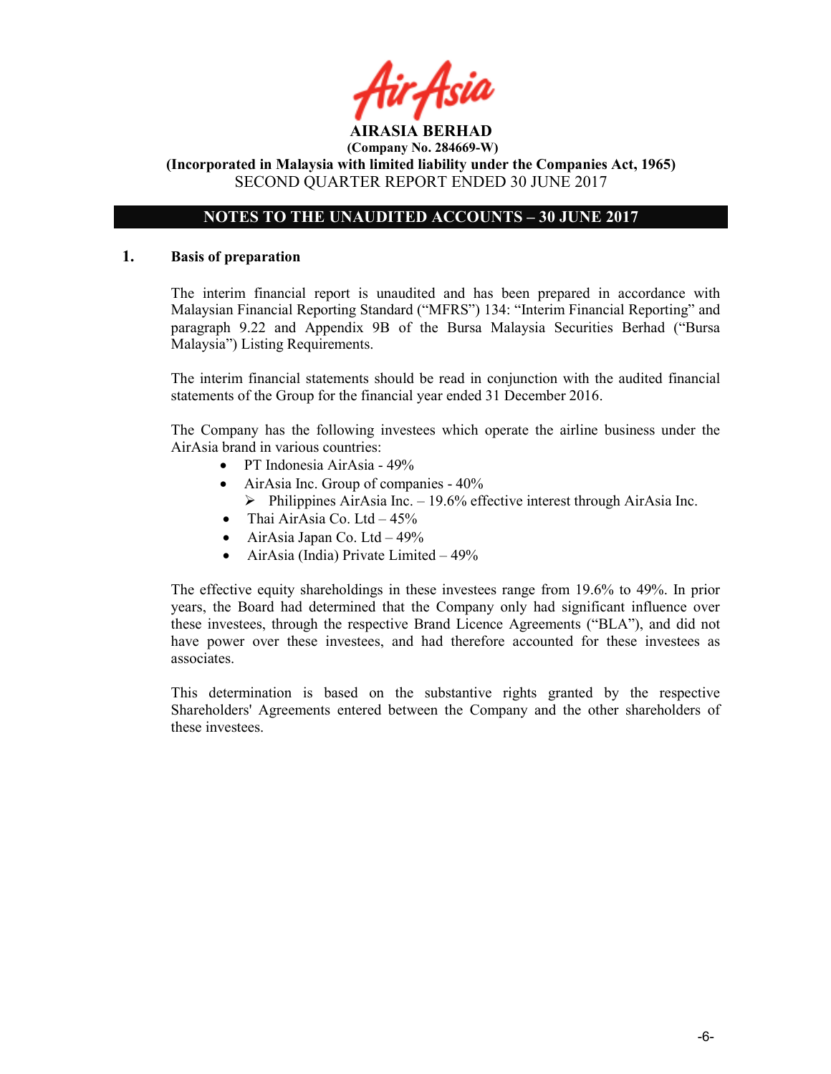# NOTES TO THE UNAUDITED ACCOUNTS – 30 JUNE 2017

#### 1. Basis of preparation

The interim financial report is unaudited and has been prepared in accordance with Malaysian Financial Reporting Standard ("MFRS") 134: "Interim Financial Reporting" and paragraph 9.22 and Appendix 9B of the Bursa Malaysia Securities Berhad ("Bursa Malaysia") Listing Requirements.

The interim financial statements should be read in conjunction with the audited financial statements of the Group for the financial year ended 31 December 2016.

The Company has the following investees which operate the airline business under the AirAsia brand in various countries:

- PT Indonesia AirAsia 49%
- AirAsia Inc. Group of companies  $40\%$ 
	- $\triangleright$  Philippines AirAsia Inc. 19.6% effective interest through AirAsia Inc.
- Thai AirAsia Co. Ltd  $-45\%$
- AirAsia Japan Co. Ltd  $-49\%$
- AirAsia (India) Private Limited 49%

The effective equity shareholdings in these investees range from 19.6% to 49%. In prior years, the Board had determined that the Company only had significant influence over these investees, through the respective Brand Licence Agreements ("BLA"), and did not have power over these investees, and had therefore accounted for these investees as associates.

This determination is based on the substantive rights granted by the respective Shareholders' Agreements entered between the Company and the other shareholders of these investees.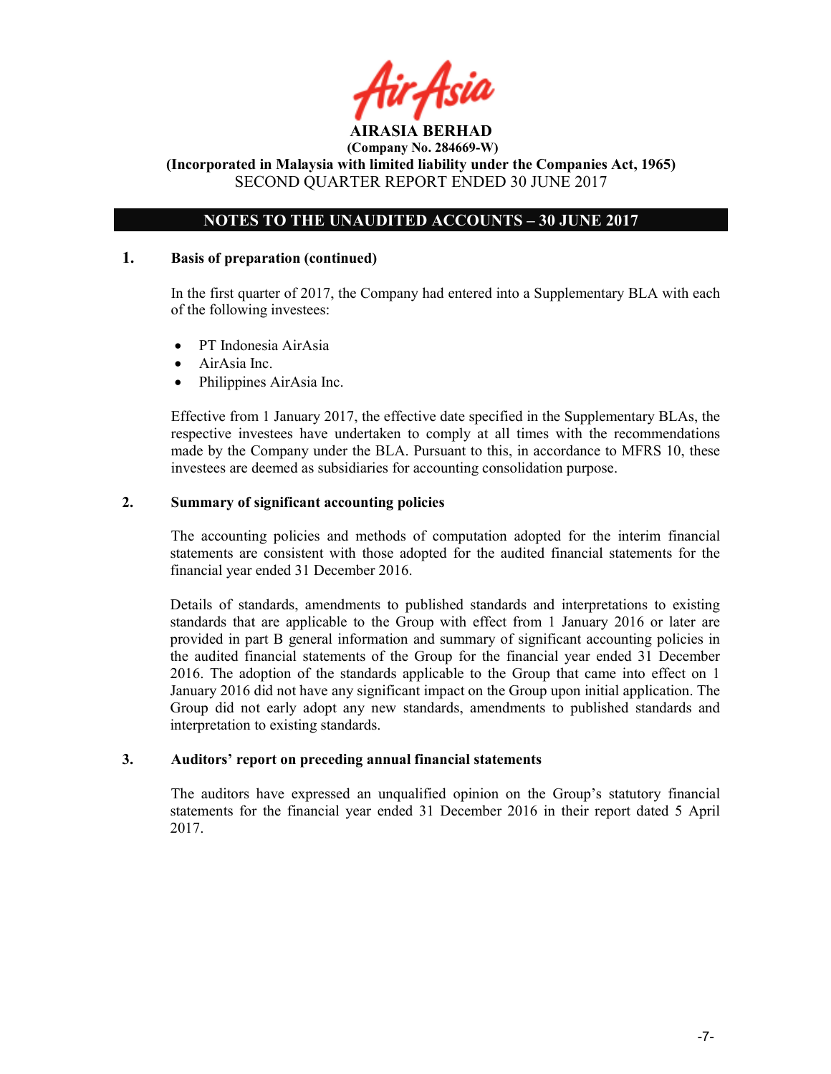# NOTES TO THE UNAUDITED ACCOUNTS – 30 JUNE 2017

# 1. Basis of preparation (continued)

In the first quarter of 2017, the Company had entered into a Supplementary BLA with each of the following investees:

- PT Indonesia AirAsia
- AirAsia Inc.
- Philippines AirAsia Inc.

Effective from 1 January 2017, the effective date specified in the Supplementary BLAs, the respective investees have undertaken to comply at all times with the recommendations made by the Company under the BLA. Pursuant to this, in accordance to MFRS 10, these investees are deemed as subsidiaries for accounting consolidation purpose.

# 2. Summary of significant accounting policies

The accounting policies and methods of computation adopted for the interim financial statements are consistent with those adopted for the audited financial statements for the financial year ended 31 December 2016.

Details of standards, amendments to published standards and interpretations to existing standards that are applicable to the Group with effect from 1 January 2016 or later are provided in part B general information and summary of significant accounting policies in the audited financial statements of the Group for the financial year ended 31 December 2016. The adoption of the standards applicable to the Group that came into effect on 1 January 2016 did not have any significant impact on the Group upon initial application. The Group did not early adopt any new standards, amendments to published standards and interpretation to existing standards.

# 3. Auditors' report on preceding annual financial statements

The auditors have expressed an unqualified opinion on the Group's statutory financial statements for the financial year ended 31 December 2016 in their report dated 5 April 2017.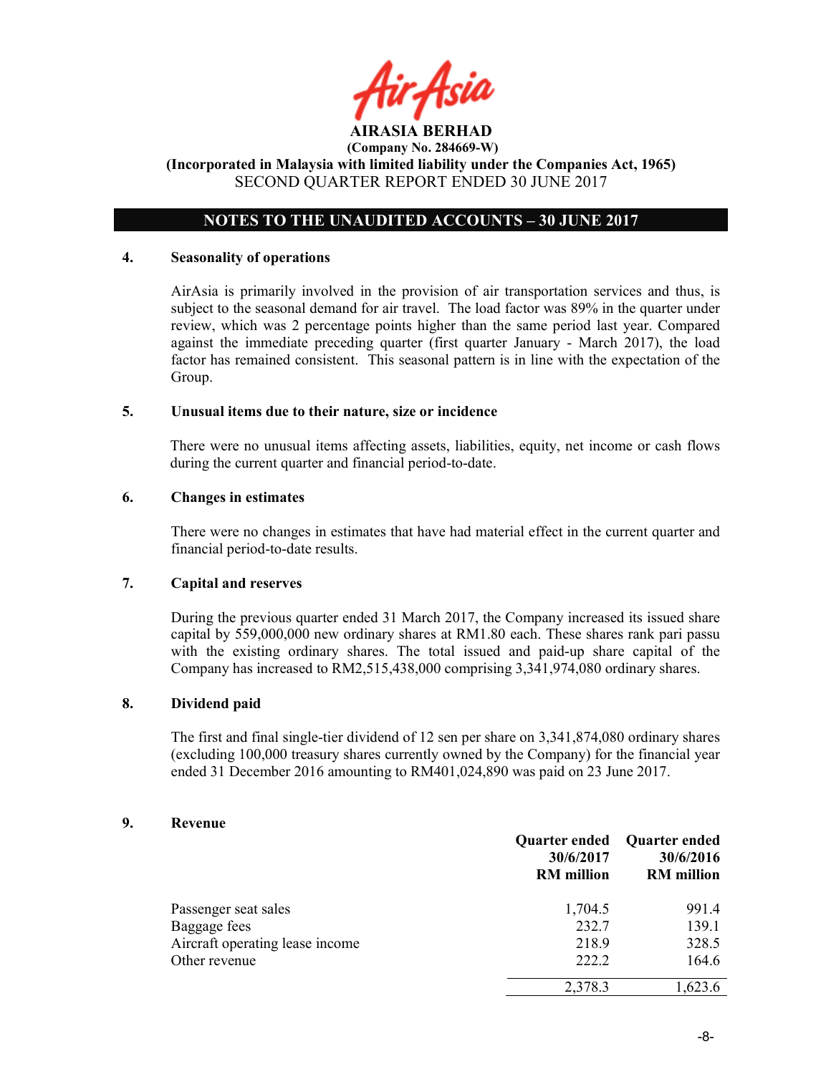# NOTES TO THE UNAUDITED ACCOUNTS – 30 JUNE 2017

#### 4. Seasonality of operations

AirAsia is primarily involved in the provision of air transportation services and thus, is subject to the seasonal demand for air travel. The load factor was 89% in the quarter under review, which was 2 percentage points higher than the same period last year. Compared against the immediate preceding quarter (first quarter January - March 2017), the load factor has remained consistent. This seasonal pattern is in line with the expectation of the Group.

#### 5. Unusual items due to their nature, size or incidence

There were no unusual items affecting assets, liabilities, equity, net income or cash flows during the current quarter and financial period-to-date.

#### 6. Changes in estimates

There were no changes in estimates that have had material effect in the current quarter and financial period-to-date results.

# 7. Capital and reserves

During the previous quarter ended 31 March 2017, the Company increased its issued share capital by 559,000,000 new ordinary shares at RM1.80 each. These shares rank pari passu with the existing ordinary shares. The total issued and paid-up share capital of the Company has increased to RM2,515,438,000 comprising 3,341,974,080 ordinary shares.

# 8. Dividend paid

The first and final single-tier dividend of 12 sen per share on 3,341,874,080 ordinary shares (excluding 100,000 treasury shares currently owned by the Company) for the financial year ended 31 December 2016 amounting to RM401,024,890 was paid on 23 June 2017.

# 9. Revenue

|                                 | 30/6/2017<br><b>RM</b> million | Quarter ended Quarter ended<br>30/6/2016<br><b>RM</b> million |
|---------------------------------|--------------------------------|---------------------------------------------------------------|
| Passenger seat sales            | 1,704.5                        | 991.4                                                         |
| Baggage fees                    | 232.7                          | 139.1                                                         |
| Aircraft operating lease income | 218.9                          | 328.5                                                         |
| Other revenue                   | 222.2                          | 164.6                                                         |
|                                 | 2,378.3                        | 1,623.6                                                       |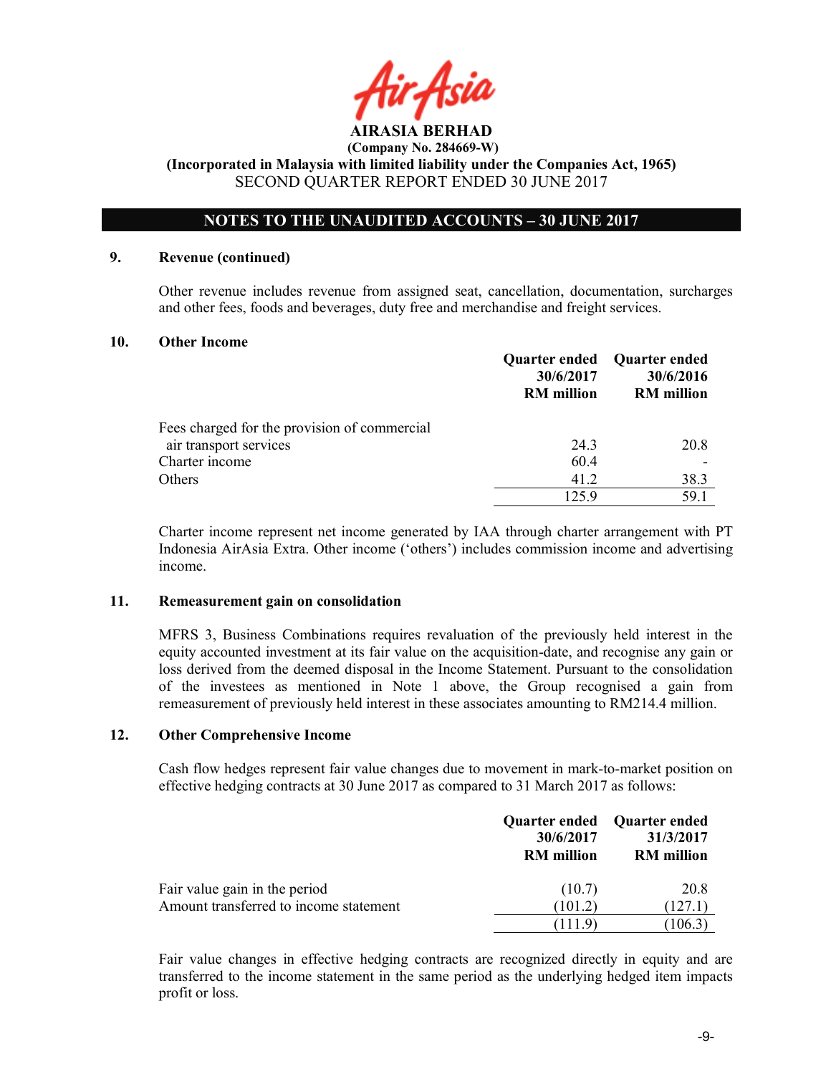

# NOTES TO THE UNAUDITED ACCOUNTS – 30 JUNE 2017

# 9. Revenue (continued)

Other revenue includes revenue from assigned seat, cancellation, documentation, surcharges and other fees, foods and beverages, duty free and merchandise and freight services.

#### 10. Other Income

|                                              | 30/6/2017<br><b>RM</b> million | Quarter ended Quarter ended<br>30/6/2016<br><b>RM</b> million |
|----------------------------------------------|--------------------------------|---------------------------------------------------------------|
| Fees charged for the provision of commercial |                                |                                                               |
| air transport services                       | 24.3                           | 20.8                                                          |
| Charter income                               | 60.4                           |                                                               |
| Others                                       | 41.2                           | 38.3                                                          |
|                                              | 125.9                          | 59.1                                                          |

Charter income represent net income generated by IAA through charter arrangement with PT Indonesia AirAsia Extra. Other income ('others') includes commission income and advertising income.

#### 11. Remeasurement gain on consolidation

MFRS 3, Business Combinations requires revaluation of the previously held interest in the equity accounted investment at its fair value on the acquisition-date, and recognise any gain or loss derived from the deemed disposal in the Income Statement. Pursuant to the consolidation of the investees as mentioned in Note 1 above, the Group recognised a gain from remeasurement of previously held interest in these associates amounting to RM214.4 million.

# 12. Other Comprehensive Income

Cash flow hedges represent fair value changes due to movement in mark-to-market position on effective hedging contracts at 30 June 2017 as compared to 31 March 2017 as follows:

|                                                                         | Quarter ended<br>30/6/2017<br><b>RM</b> million | Quarter ended<br>31/3/2017<br><b>RM</b> million |
|-------------------------------------------------------------------------|-------------------------------------------------|-------------------------------------------------|
| Fair value gain in the period<br>Amount transferred to income statement | (10.7)<br>(101.2)                               | 20.8<br>(127.1)                                 |
|                                                                         | (111.9)                                         | (106.3)                                         |

Fair value changes in effective hedging contracts are recognized directly in equity and are transferred to the income statement in the same period as the underlying hedged item impacts profit or loss.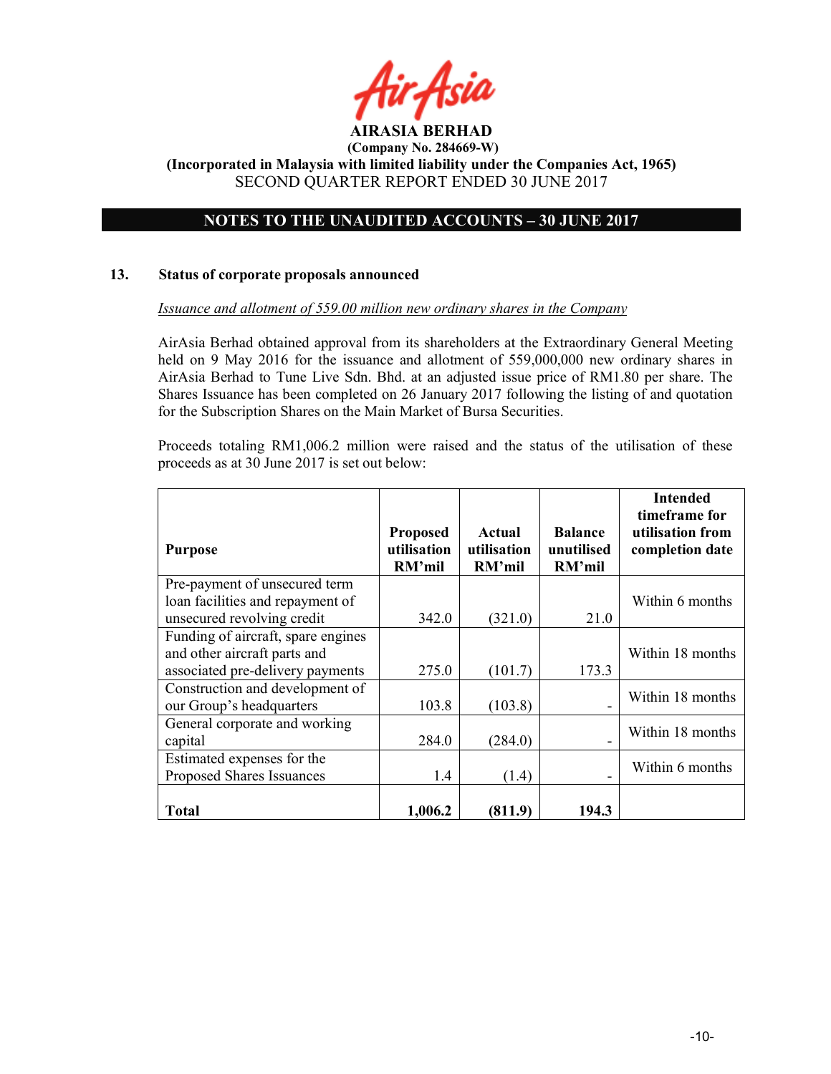

# NOTES TO THE UNAUDITED ACCOUNTS – 30 JUNE 2017

### 13. Status of corporate proposals announced

#### Issuance and allotment of 559.00 million new ordinary shares in the Company

AirAsia Berhad obtained approval from its shareholders at the Extraordinary General Meeting held on 9 May 2016 for the issuance and allotment of 559,000,000 new ordinary shares in AirAsia Berhad to Tune Live Sdn. Bhd. at an adjusted issue price of RM1.80 per share. The Shares Issuance has been completed on 26 January 2017 following the listing of and quotation for the Subscription Shares on the Main Market of Bursa Securities.

Proceeds totaling RM1,006.2 million were raised and the status of the utilisation of these proceeds as at 30 June 2017 is set out below:

|                                                                  |                                          |                                 |                                        | <b>Intended</b><br>timeframe for    |
|------------------------------------------------------------------|------------------------------------------|---------------------------------|----------------------------------------|-------------------------------------|
| <b>Purpose</b>                                                   | <b>Proposed</b><br>utilisation<br>RM'mil | Actual<br>utilisation<br>RM'mil | <b>Balance</b><br>unutilised<br>RM'mil | utilisation from<br>completion date |
| Pre-payment of unsecured term                                    |                                          |                                 |                                        |                                     |
| loan facilities and repayment of<br>unsecured revolving credit   | 342.0                                    | (321.0)                         | 21.0                                   | Within 6 months                     |
| Funding of aircraft, spare engines                               |                                          |                                 |                                        |                                     |
| and other aircraft parts and<br>associated pre-delivery payments | 275.0                                    | (101.7)                         | 173.3                                  | Within 18 months                    |
| Construction and development of                                  |                                          |                                 |                                        | Within 18 months                    |
| our Group's headquarters                                         | 103.8                                    | (103.8)                         |                                        |                                     |
| General corporate and working                                    |                                          |                                 |                                        | Within 18 months                    |
| capital                                                          | 284.0                                    | (284.0)                         |                                        |                                     |
| Estimated expenses for the                                       |                                          |                                 |                                        | Within 6 months                     |
| Proposed Shares Issuances                                        | 1.4                                      | (1.4)                           |                                        |                                     |
| <b>Total</b>                                                     | 1,006.2                                  | (811.9)                         | 194.3                                  |                                     |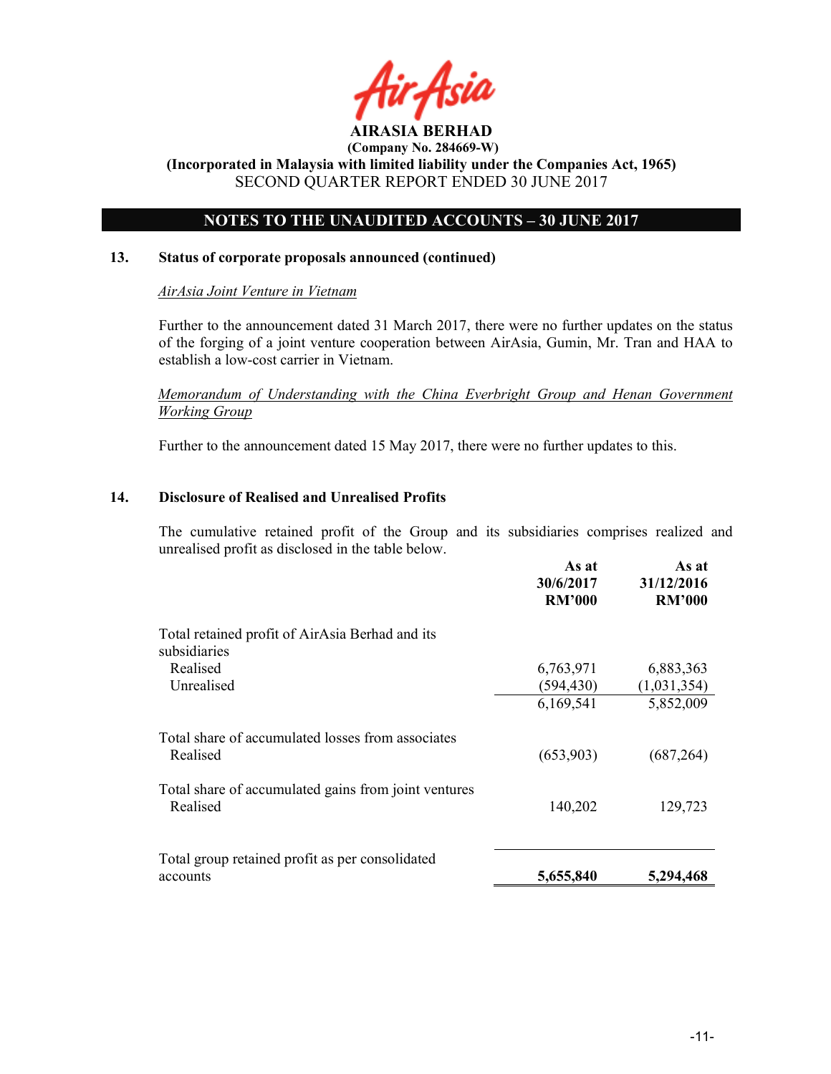

# NOTES TO THE UNAUDITED ACCOUNTS – 30 JUNE 2017

# 13. Status of corporate proposals announced (continued)

# AirAsia Joint Venture in Vietnam

Further to the announcement dated 31 March 2017, there were no further updates on the status of the forging of a joint venture cooperation between AirAsia, Gumin, Mr. Tran and HAA to establish a low-cost carrier in Vietnam.

Memorandum of Understanding with the China Everbright Group and Henan Government Working Group

Further to the announcement dated 15 May 2017, there were no further updates to this.

# 14. Disclosure of Realised and Unrealised Profits

The cumulative retained profit of the Group and its subsidiaries comprises realized and unrealised profit as disclosed in the table below.

|                                                      | As at<br>30/6/2017<br><b>RM'000</b> | As at<br>31/12/2016<br><b>RM'000</b> |
|------------------------------------------------------|-------------------------------------|--------------------------------------|
| Total retained profit of AirAsia Berhad and its      |                                     |                                      |
| subsidiaries                                         |                                     |                                      |
| Realised                                             | 6,763,971                           | 6,883,363                            |
| Unrealised                                           | (594, 430)                          | (1,031,354)                          |
|                                                      | 6,169,541                           | 5,852,009                            |
| Total share of accumulated losses from associates    |                                     |                                      |
| Realised                                             | (653,903)                           | (687, 264)                           |
| Total share of accumulated gains from joint ventures |                                     |                                      |
| Realised                                             | 140,202                             | 129,723                              |
|                                                      |                                     |                                      |
| Total group retained profit as per consolidated      |                                     |                                      |
| accounts                                             | 5,655,840                           | 5,294,468                            |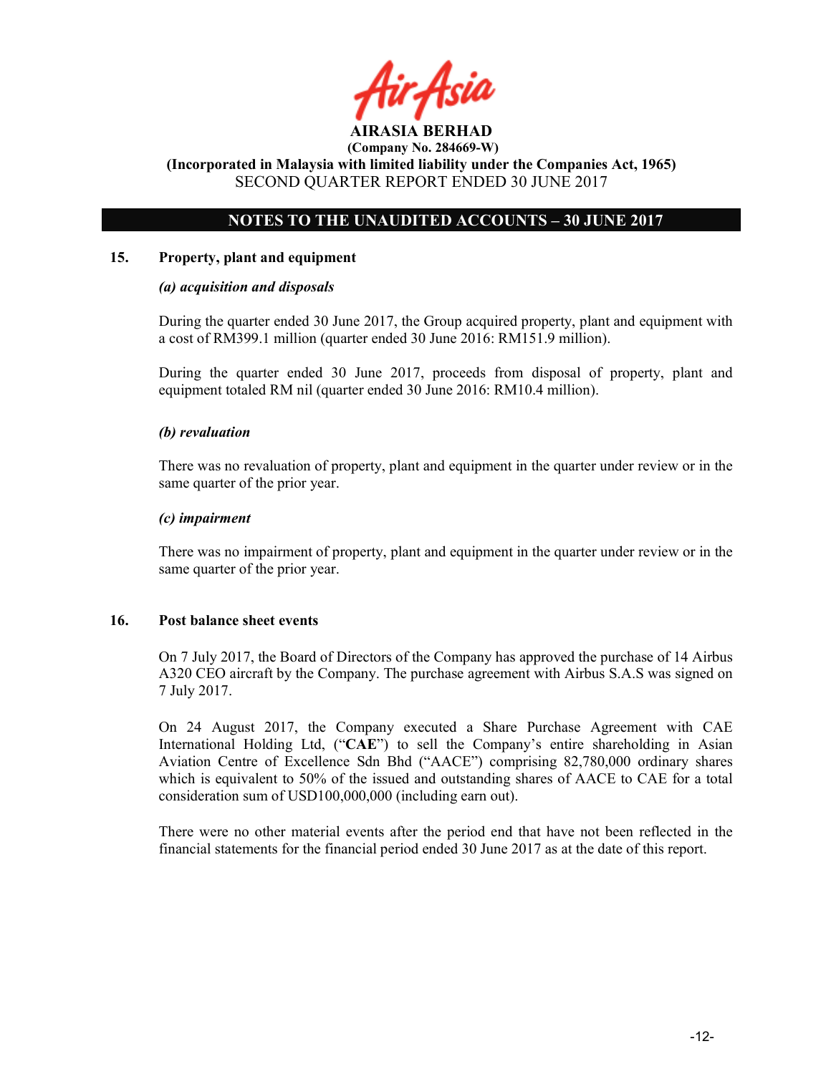

# NOTES TO THE UNAUDITED ACCOUNTS – 30 JUNE 2017

# 15. Property, plant and equipment

# (a) acquisition and disposals

During the quarter ended 30 June 2017, the Group acquired property, plant and equipment with a cost of RM399.1 million (quarter ended 30 June 2016: RM151.9 million).

During the quarter ended 30 June 2017, proceeds from disposal of property, plant and equipment totaled RM nil (quarter ended 30 June 2016: RM10.4 million).

# (b) revaluation

There was no revaluation of property, plant and equipment in the quarter under review or in the same quarter of the prior year.

# (c) impairment

There was no impairment of property, plant and equipment in the quarter under review or in the same quarter of the prior year.

# 16. Post balance sheet events

On 7 July 2017, the Board of Directors of the Company has approved the purchase of 14 Airbus A320 CEO aircraft by the Company. The purchase agreement with Airbus S.A.S was signed on 7 July 2017.

On 24 August 2017, the Company executed a Share Purchase Agreement with CAE International Holding Ltd, ("CAE") to sell the Company's entire shareholding in Asian Aviation Centre of Excellence Sdn Bhd ("AACE") comprising 82,780,000 ordinary shares which is equivalent to 50% of the issued and outstanding shares of AACE to CAE for a total consideration sum of USD100,000,000 (including earn out).

There were no other material events after the period end that have not been reflected in the financial statements for the financial period ended 30 June 2017 as at the date of this report.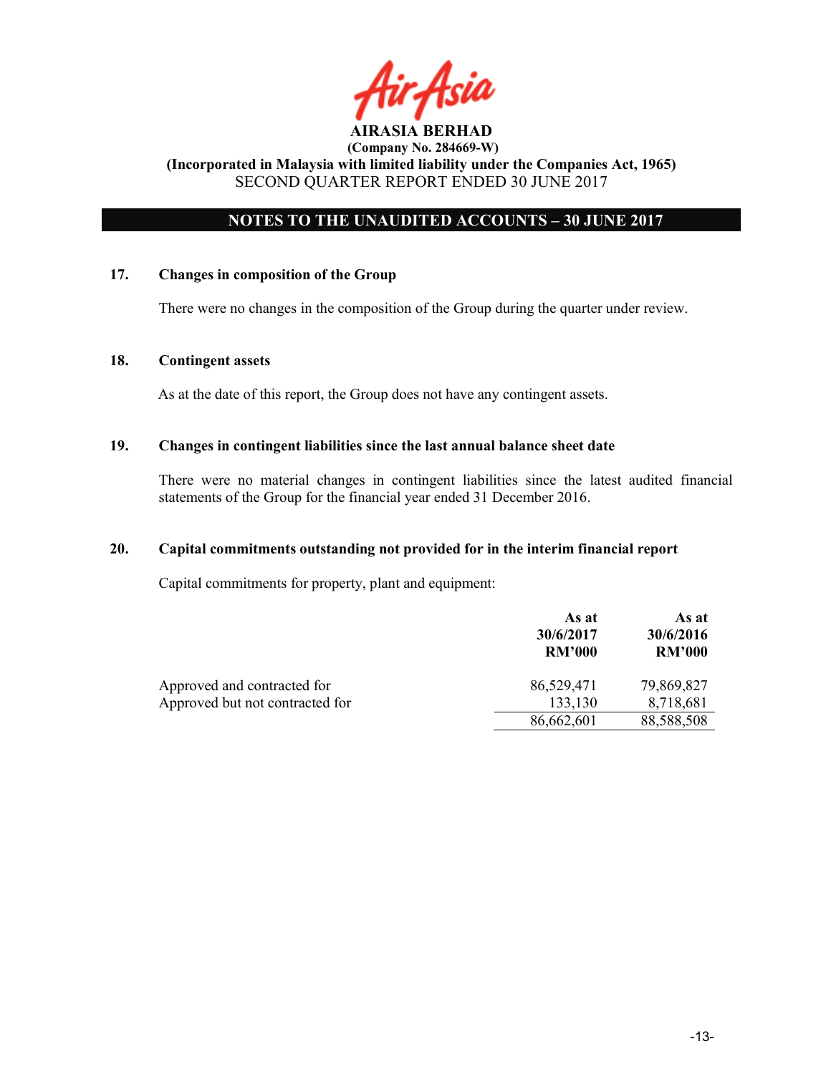

# NOTES TO THE UNAUDITED ACCOUNTS – 30 JUNE 2017

# 17. Changes in composition of the Group

There were no changes in the composition of the Group during the quarter under review.

## 18. Contingent assets

As at the date of this report, the Group does not have any contingent assets.

#### 19. Changes in contingent liabilities since the last annual balance sheet date

There were no material changes in contingent liabilities since the latest audited financial statements of the Group for the financial year ended 31 December 2016.

### 20. Capital commitments outstanding not provided for in the interim financial report

Capital commitments for property, plant and equipment:

|                                 | As at<br>30/6/2017<br><b>RM'000</b> | As at<br>30/6/2016<br><b>RM'000</b> |
|---------------------------------|-------------------------------------|-------------------------------------|
| Approved and contracted for     | 86,529,471                          | 79,869,827                          |
| Approved but not contracted for | 133,130                             | 8,718,681                           |
|                                 | 86,662,601                          | 88,588,508                          |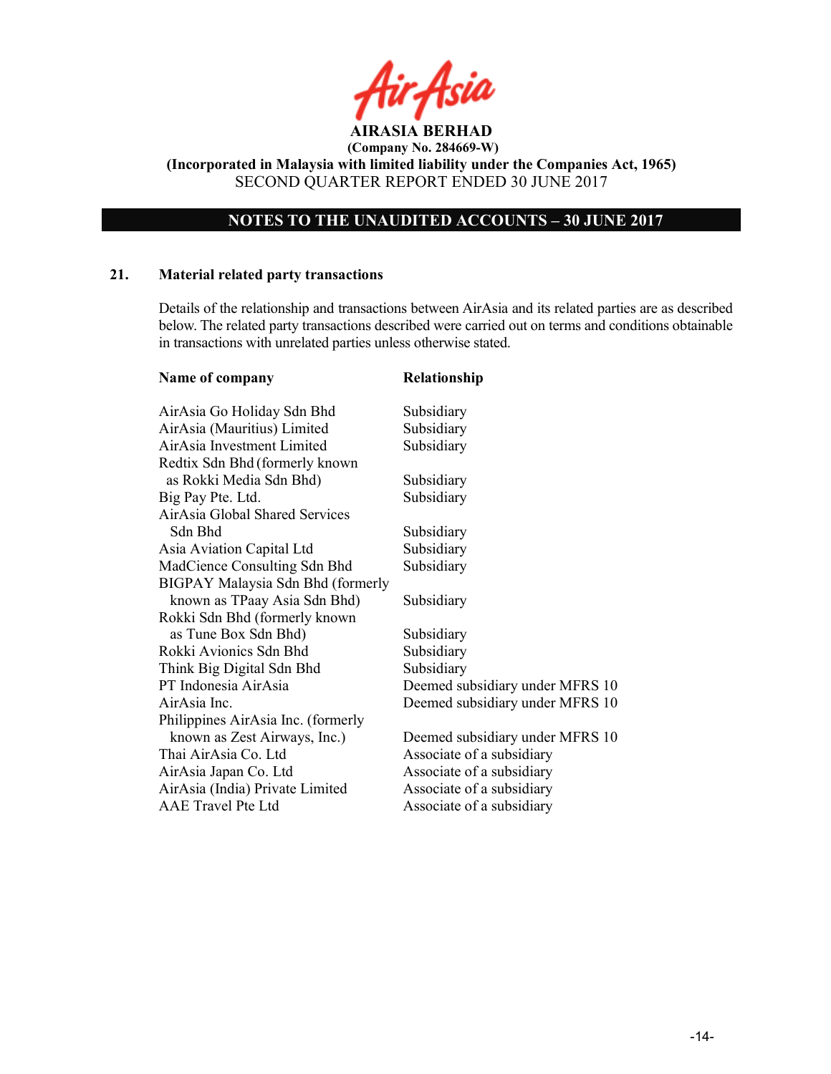# NOTES TO THE UNAUDITED ACCOUNTS – 30 JUNE 2017

#### 21. Material related party transactions

Details of the relationship and transactions between AirAsia and its related parties are as described below. The related party transactions described were carried out on terms and conditions obtainable in transactions with unrelated parties unless otherwise stated.

| Name of company                    | Relationship                    |
|------------------------------------|---------------------------------|
| AirAsia Go Holiday Sdn Bhd         | Subsidiary                      |
| AirAsia (Mauritius) Limited        | Subsidiary                      |
| AirAsia Investment Limited         | Subsidiary                      |
| Redtix Sdn Bhd (formerly known     |                                 |
| as Rokki Media Sdn Bhd)            | Subsidiary                      |
| Big Pay Pte. Ltd.                  | Subsidiary                      |
| AirAsia Global Shared Services     |                                 |
| Sdn Bhd                            | Subsidiary                      |
| Asia Aviation Capital Ltd          | Subsidiary                      |
| MadCience Consulting Sdn Bhd       | Subsidiary                      |
| BIGPAY Malaysia Sdn Bhd (formerly  |                                 |
| known as TPaay Asia Sdn Bhd)       | Subsidiary                      |
| Rokki Sdn Bhd (formerly known      |                                 |
| as Tune Box Sdn Bhd)               | Subsidiary                      |
| Rokki Avionics Sdn Bhd             | Subsidiary                      |
| Think Big Digital Sdn Bhd          | Subsidiary                      |
| PT Indonesia AirAsia               | Deemed subsidiary under MFRS 10 |
| AirAsia Inc.                       | Deemed subsidiary under MFRS 10 |
| Philippines AirAsia Inc. (formerly |                                 |
| known as Zest Airways, Inc.)       | Deemed subsidiary under MFRS 10 |
| Thai AirAsia Co. Ltd               | Associate of a subsidiary       |
| AirAsia Japan Co. Ltd              | Associate of a subsidiary       |
| AirAsia (India) Private Limited    | Associate of a subsidiary       |
| <b>AAE</b> Travel Pte Ltd          | Associate of a subsidiary       |
|                                    |                                 |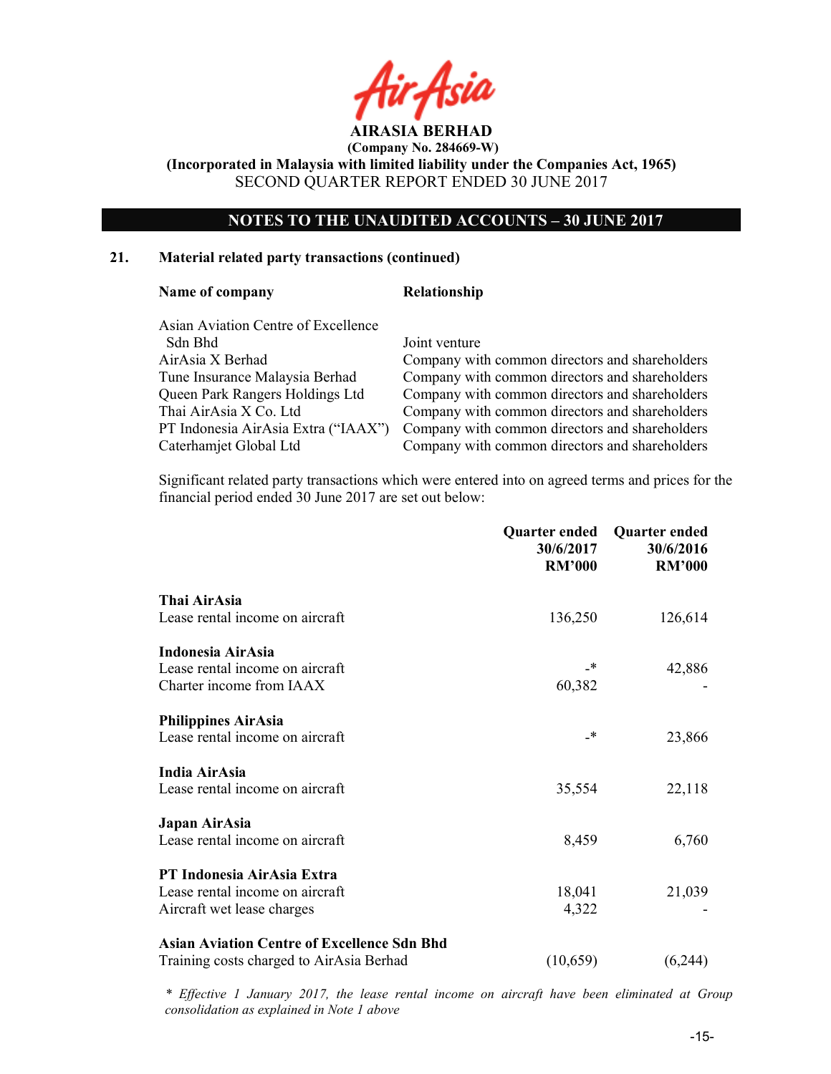# NOTES TO THE UNAUDITED ACCOUNTS – 30 JUNE 2017

#### 21. Material related party transactions (continued)

#### Name of company Relationship

 Asian Aviation Centre of Excellence Sdn Bhd Joint venture

 AirAsia X Berhad Company with common directors and shareholders Tune Insurance Malaysia Berhad Company with common directors and shareholders Queen Park Rangers Holdings Ltd Company with common directors and shareholders Thai AirAsia X Co. Ltd Company with common directors and shareholders PT Indonesia AirAsia Extra ("IAAX") Company with common directors and shareholders Caterhamjet Global Ltd Company with common directors and shareholders

 Significant related party transactions which were entered into on agreed terms and prices for the financial period ended 30 June 2017 are set out below:

|                                                    | <b>Quarter ended</b><br>30/6/2017<br><b>RM'000</b> | <b>Quarter ended</b><br>30/6/2016<br><b>RM'000</b> |
|----------------------------------------------------|----------------------------------------------------|----------------------------------------------------|
| Thai AirAsia                                       |                                                    |                                                    |
| Lease rental income on aircraft                    | 136,250                                            | 126,614                                            |
| Indonesia AirAsia                                  |                                                    |                                                    |
| Lease rental income on aircraft                    | _*                                                 | 42,886                                             |
| Charter income from IAAX                           | 60,382                                             |                                                    |
| <b>Philippines AirAsia</b>                         |                                                    |                                                    |
| Lease rental income on aircraft                    | _*                                                 | 23,866                                             |
| India AirAsia                                      |                                                    |                                                    |
| Lease rental income on aircraft                    | 35,554                                             | 22,118                                             |
| Japan AirAsia                                      |                                                    |                                                    |
| Lease rental income on aircraft                    | 8,459                                              | 6,760                                              |
| PT Indonesia AirAsia Extra                         |                                                    |                                                    |
| Lease rental income on aircraft                    | 18,041                                             | 21,039                                             |
| Aircraft wet lease charges                         | 4,322                                              |                                                    |
| <b>Asian Aviation Centre of Excellence Sdn Bhd</b> |                                                    |                                                    |
| Training costs charged to AirAsia Berhad           | (10,659)                                           | (6,244)                                            |

\* Effective 1 January 2017, the lease rental income on aircraft have been eliminated at Group consolidation as explained in Note 1 above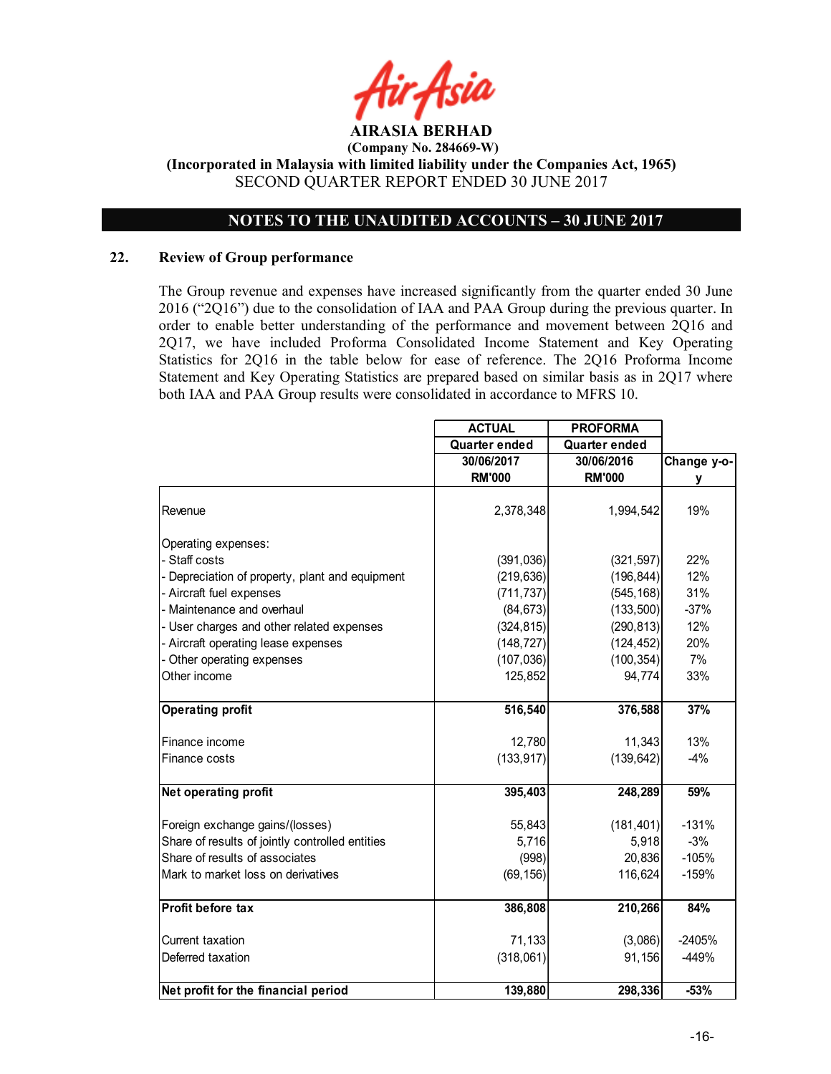

# NOTES TO THE UNAUDITED ACCOUNTS – 30 JUNE 2017

# 22. Review of Group performance

The Group revenue and expenses have increased significantly from the quarter ended 30 June 2016 ("2Q16") due to the consolidation of IAA and PAA Group during the previous quarter. In order to enable better understanding of the performance and movement between 2Q16 and 2Q17, we have included Proforma Consolidated Income Statement and Key Operating Statistics for 2Q16 in the table below for ease of reference. The 2Q16 Proforma Income Statement and Key Operating Statistics are prepared based on similar basis as in 2Q17 where both IAA and PAA Group results were consolidated in accordance to MFRS 10.

|                                                 | <b>ACTUAL</b> | <b>PROFORMA</b>      |             |
|-------------------------------------------------|---------------|----------------------|-------------|
|                                                 | Quarter ended | <b>Quarter ended</b> |             |
|                                                 | 30/06/2017    | 30/06/2016           | Change y-o- |
|                                                 | <b>RM'000</b> | <b>RM'000</b>        | у           |
|                                                 |               |                      |             |
| Revenue                                         | 2,378,348     | 1,994,542            | 19%         |
| Operating expenses:                             |               |                      |             |
| - Staff costs                                   | (391, 036)    | (321, 597)           | 22%         |
| Depreciation of property, plant and equipment   | (219, 636)    | (196, 844)           | 12%         |
| - Aircraft fuel expenses                        | (711, 737)    | (545, 168)           | 31%         |
| - Maintenance and overhaul                      | (84, 673)     | (133, 500)           | $-37%$      |
| - User charges and other related expenses       | (324, 815)    | (290, 813)           | 12%         |
| - Aircraft operating lease expenses             | (148, 727)    | (124, 452)           | 20%         |
| - Other operating expenses                      | (107, 036)    | (100, 354)           | 7%          |
| Other income                                    | 125,852       | 94,774               | 33%         |
|                                                 |               |                      |             |
| <b>Operating profit</b>                         | 516,540       | 376,588              | 37%         |
| Finance income                                  | 12,780        | 11,343               | 13%         |
| Finance costs                                   | (133, 917)    | (139, 642)           | $-4%$       |
|                                                 |               |                      |             |
| Net operating profit                            | 395,403       | 248,289              | 59%         |
| Foreign exchange gains/(losses)                 | 55,843        | (181, 401)           | $-131%$     |
| Share of results of jointly controlled entities | 5,716         | 5,918                | $-3%$       |
| Share of results of associates                  | (998)         | 20,836               | $-105%$     |
| Mark to market loss on derivatives              | (69, 156)     | 116,624              | $-159%$     |
|                                                 |               |                      |             |
| Profit before tax                               | 386,808       | 210,266              | 84%         |
| Current taxation                                | 71,133        | (3,086)              | $-2405%$    |
| Deferred taxation                               | (318,061)     | 91,156               | -449%       |
|                                                 |               |                      |             |
| Net profit for the financial period             | 139,880       | 298,336              | $-53%$      |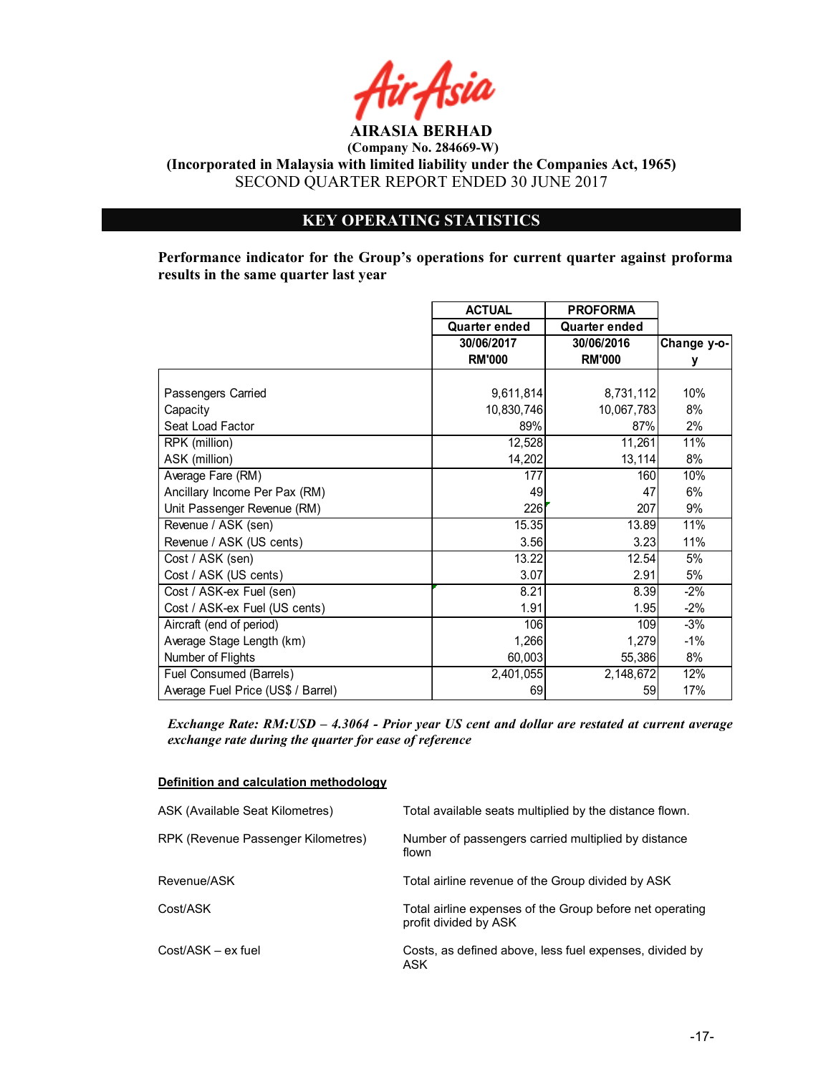

(Company No. 284669-W)

(Incorporated in Malaysia with limited liability under the Companies Act, 1965) SECOND QUARTER REPORT ENDED 30 JUNE 2017

# KEY OPERATING STATISTICS

Performance indicator for the Group's operations for current quarter against proforma results in the same quarter last year

|                                    | <b>ACTUAL</b> | <b>PROFORMA</b> |             |
|------------------------------------|---------------|-----------------|-------------|
|                                    | Quarter ended | Quarter ended   |             |
|                                    | 30/06/2017    | 30/06/2016      | Change y-o- |
|                                    | <b>RM'000</b> | <b>RM'000</b>   | у           |
|                                    |               |                 |             |
| Passengers Carried                 | 9,611,814     | 8,731,112       | 10%         |
| Capacity                           | 10,830,746    | 10,067,783      | 8%          |
| Seat Load Factor                   | 89%           | 87%             | 2%          |
| RPK (million)                      | 12,528        | 11,261          | 11%         |
| ASK (million)                      | 14,202        | 13,114          | 8%          |
| Average Fare (RM)                  | 177           | 160             | 10%         |
| Ancillary Income Per Pax (RM)      | 49            | 47              | 6%          |
| Unit Passenger Revenue (RM)        | 226           | 207             | 9%          |
| Revenue / ASK (sen)                | 15.35         | 13.89           | 11%         |
| Revenue / ASK (US cents)           | 3.56          | 3.23            | 11%         |
| Cost / ASK (sen)                   | 13.22         | 12.54           | 5%          |
| Cost / ASK (US cents)              | 3.07          | 2.91            | 5%          |
| Cost / ASK-ex Fuel (sen)           | 8.21          | 8.39            | $-2%$       |
| Cost / ASK-ex Fuel (US cents)      | 1.91          | 1.95            | $-2%$       |
| Aircraft (end of period)           | 106           | 109             | $-3%$       |
| Average Stage Length (km)          | 1,266         | 1,279           | $-1%$       |
| Number of Flights                  | 60,003        | 55,386          | 8%          |
| Fuel Consumed (Barrels)            | 2,401,055     | 2,148,672       | 12%         |
| Average Fuel Price (US\$ / Barrel) | 69            | 59              | 17%         |

Exchange Rate: RM:USD – 4.3064 - Prior year US cent and dollar are restated at current average exchange rate during the quarter for ease of reference

#### Definition and calculation methodology

| ASK (Available Seat Kilometres)    | Total available seats multiplied by the distance flown.                           |
|------------------------------------|-----------------------------------------------------------------------------------|
| RPK (Revenue Passenger Kilometres) | Number of passengers carried multiplied by distance<br>flown                      |
| Revenue/ASK                        | Total airline revenue of the Group divided by ASK                                 |
| Cost/ASK                           | Total airline expenses of the Group before net operating<br>profit divided by ASK |
| Cost/ASK – ex fuel                 | Costs, as defined above, less fuel expenses, divided by<br>ASK                    |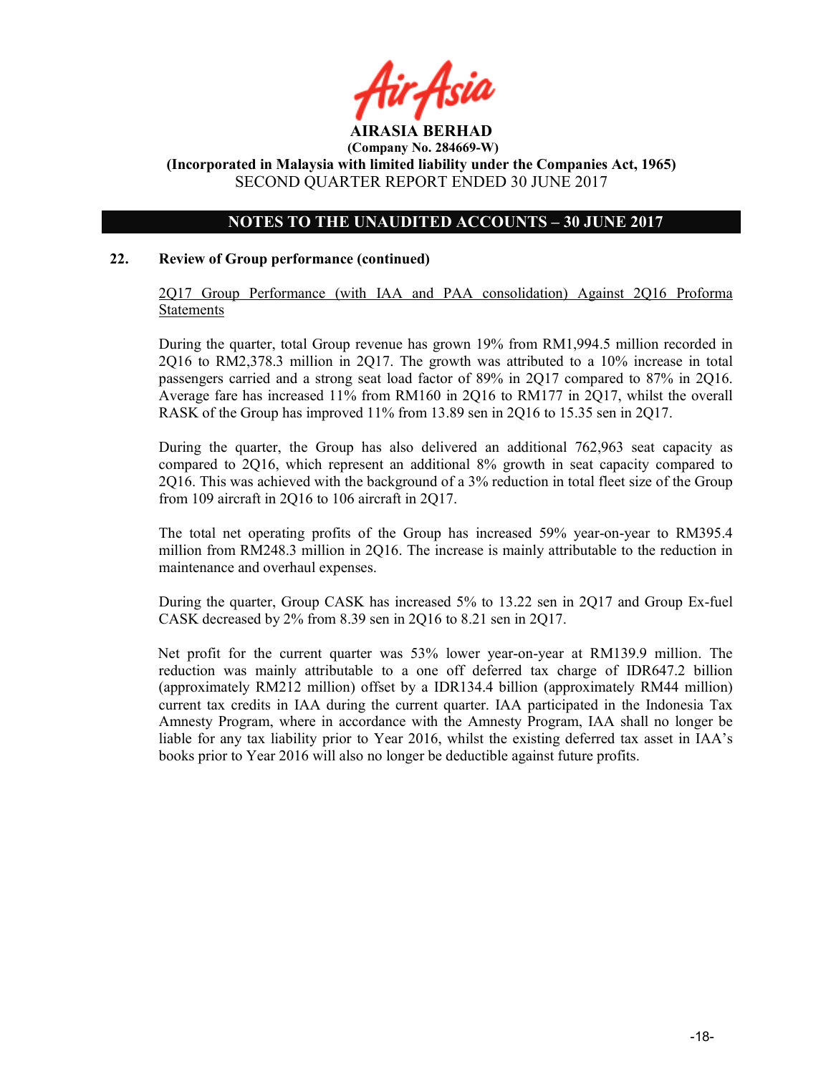

# NOTES TO THE UNAUDITED ACCOUNTS – 30 JUNE 2017

## 22. Review of Group performance (continued)

2Q17 Group Performance (with IAA and PAA consolidation) Against 2Q16 Proforma Statements

During the quarter, total Group revenue has grown 19% from RM1,994.5 million recorded in 2Q16 to RM2,378.3 million in 2Q17. The growth was attributed to a 10% increase in total passengers carried and a strong seat load factor of 89% in 2Q17 compared to 87% in 2Q16. Average fare has increased 11% from RM160 in 2Q16 to RM177 in 2Q17, whilst the overall RASK of the Group has improved 11% from 13.89 sen in 2Q16 to 15.35 sen in 2Q17.

During the quarter, the Group has also delivered an additional 762,963 seat capacity as compared to 2Q16, which represent an additional 8% growth in seat capacity compared to 2Q16. This was achieved with the background of a 3% reduction in total fleet size of the Group from 109 aircraft in 2Q16 to 106 aircraft in 2Q17.

The total net operating profits of the Group has increased 59% year-on-year to RM395.4 million from RM248.3 million in 2Q16. The increase is mainly attributable to the reduction in maintenance and overhaul expenses.

During the quarter, Group CASK has increased 5% to 13.22 sen in 2Q17 and Group Ex-fuel CASK decreased by 2% from 8.39 sen in 2Q16 to 8.21 sen in 2Q17.

Net profit for the current quarter was 53% lower year-on-year at RM139.9 million. The reduction was mainly attributable to a one off deferred tax charge of IDR647.2 billion (approximately RM212 million) offset by a IDR134.4 billion (approximately RM44 million) current tax credits in IAA during the current quarter. IAA participated in the Indonesia Tax Amnesty Program, where in accordance with the Amnesty Program, IAA shall no longer be liable for any tax liability prior to Year 2016, whilst the existing deferred tax asset in IAA's books prior to Year 2016 will also no longer be deductible against future profits.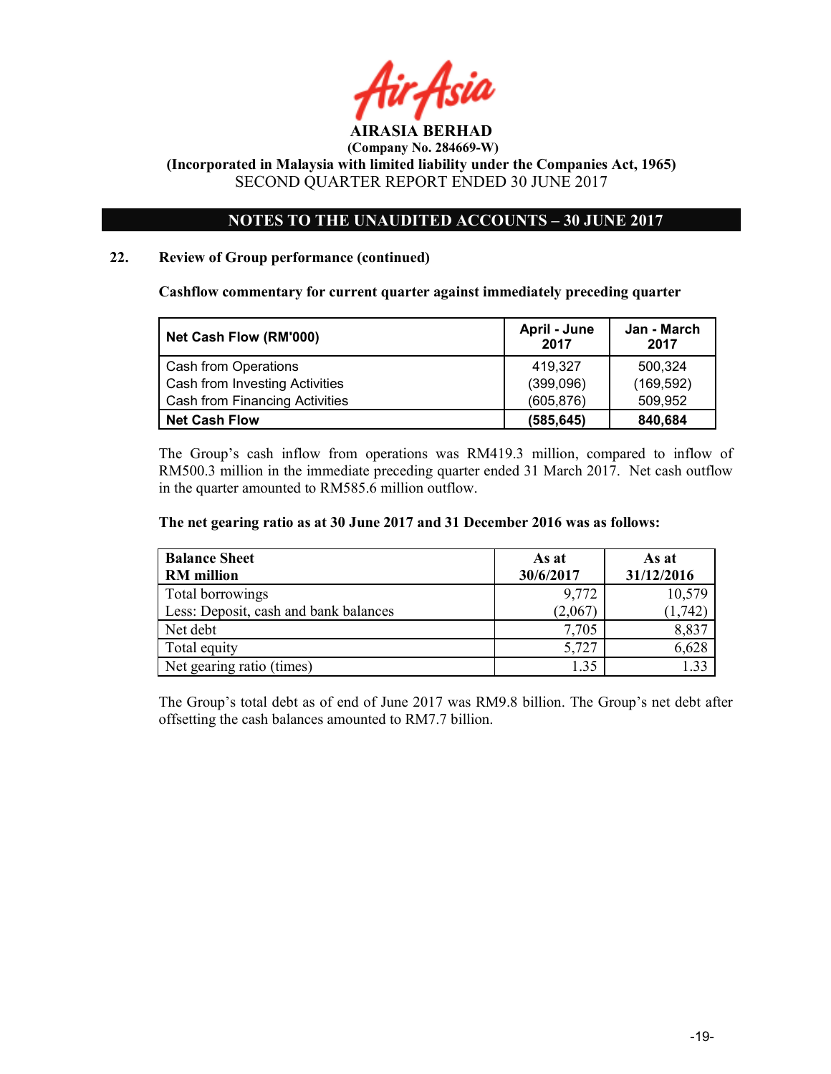

# NOTES TO THE UNAUDITED ACCOUNTS – 30 JUNE 2017

# 22. Review of Group performance (continued)

Cashflow commentary for current quarter against immediately preceding quarter

| Net Cash Flow (RM'000)         | April - June<br>2017 | Jan - March<br>2017 |
|--------------------------------|----------------------|---------------------|
| Cash from Operations           | 419.327              | 500.324             |
| Cash from Investing Activities | (399,096)            | (169, 592)          |
| Cash from Financing Activities | (605, 876)           | 509.952             |
| Net Cash Flow                  | (585, 645)           | 840,684             |

The Group's cash inflow from operations was RM419.3 million, compared to inflow of RM500.3 million in the immediate preceding quarter ended 31 March 2017. Net cash outflow in the quarter amounted to RM585.6 million outflow.

#### The net gearing ratio as at 30 June 2017 and 31 December 2016 was as follows:

| <b>Balance Sheet</b>                  | As at     | As at      |
|---------------------------------------|-----------|------------|
| <b>RM</b> million                     | 30/6/2017 | 31/12/2016 |
| Total borrowings                      | 9,772     | 10,579     |
| Less: Deposit, cash and bank balances | (2,067)   | (1, 742)   |
| Net debt                              | 7,705     | 8,837      |
| Total equity                          | 5,727     | 6,628      |
| Net gearing ratio (times)             | 1.35      | 1 33       |

The Group's total debt as of end of June 2017 was RM9.8 billion. The Group's net debt after offsetting the cash balances amounted to RM7.7 billion.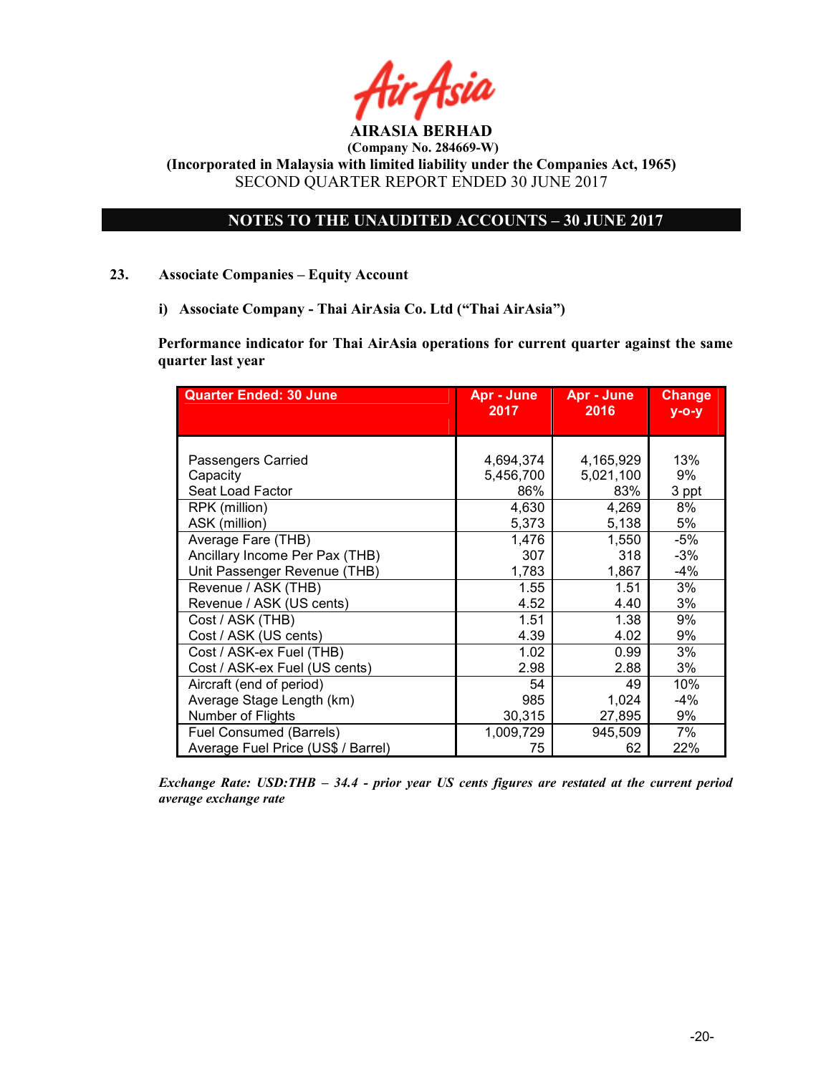

AIRASIA BERHAD (Company No. 284669-W)

(Incorporated in Malaysia with limited liability under the Companies Act, 1965) SECOND QUARTER REPORT ENDED 30 JUNE 2017

# NOTES TO THE UNAUDITED ACCOUNTS – 30 JUNE 2017

# 23. Associate Companies – Equity Account

i) Associate Company - Thai AirAsia Co. Ltd ("Thai AirAsia")

Performance indicator for Thai AirAsia operations for current quarter against the same quarter last year

| <b>Quarter Ended: 30 June</b>                                              | Apr - June                | Apr - June              | <b>Change</b>      |
|----------------------------------------------------------------------------|---------------------------|-------------------------|--------------------|
|                                                                            | 2017                      | 2016                    | $y$ -o-y           |
| Passengers Carried                                                         | 4,694,374                 | 4,165,929               | 13%                |
| Capacity                                                                   | 5,456,700                 | 5,021,100               | 9%                 |
| Seat Load Factor                                                           | 86%                       | 83%                     | 3 ppt              |
| RPK (million)                                                              | 4,630                     | 4,269                   | 8%                 |
| ASK (million)                                                              | 5,373                     | 5,138                   | 5%                 |
| Average Fare (THB)                                                         | 1,476                     | 1,550                   | $-5%$              |
| Ancillary Income Per Pax (THB)                                             | 307                       | 318                     | $-3%$              |
| Unit Passenger Revenue (THB)                                               | 1,783                     | 1,867                   | $-4%$              |
| Revenue / ASK (THB)                                                        | 1.55                      | 1.51                    | 3%                 |
| Revenue / ASK (US cents)                                                   | 4.52                      | 4.40                    | 3%                 |
| Cost / ASK (THB)                                                           | 1.51                      | 1.38                    | 9%                 |
| Cost / ASK (US cents)                                                      | 4.39                      | 4.02                    | 9%                 |
| Cost / ASK-ex Fuel (THB)                                                   | 1.02                      | 0.99                    | 3%                 |
| Cost / ASK-ex Fuel (US cents)                                              | 2.98                      | 2.88                    | 3%                 |
| Aircraft (end of period)<br>Average Stage Length (km)<br>Number of Flights | 54<br>985                 | 49<br>1,024             | 10%<br>$-4%$<br>9% |
| <b>Fuel Consumed (Barrels)</b><br>Average Fuel Price (US\$ / Barrel)       | 30,315<br>1,009,729<br>75 | 27,895<br>945,509<br>62 | 7%<br>22%          |

Exchange Rate: USD:THB – 34.4 - prior year US cents figures are restated at the current period average exchange rate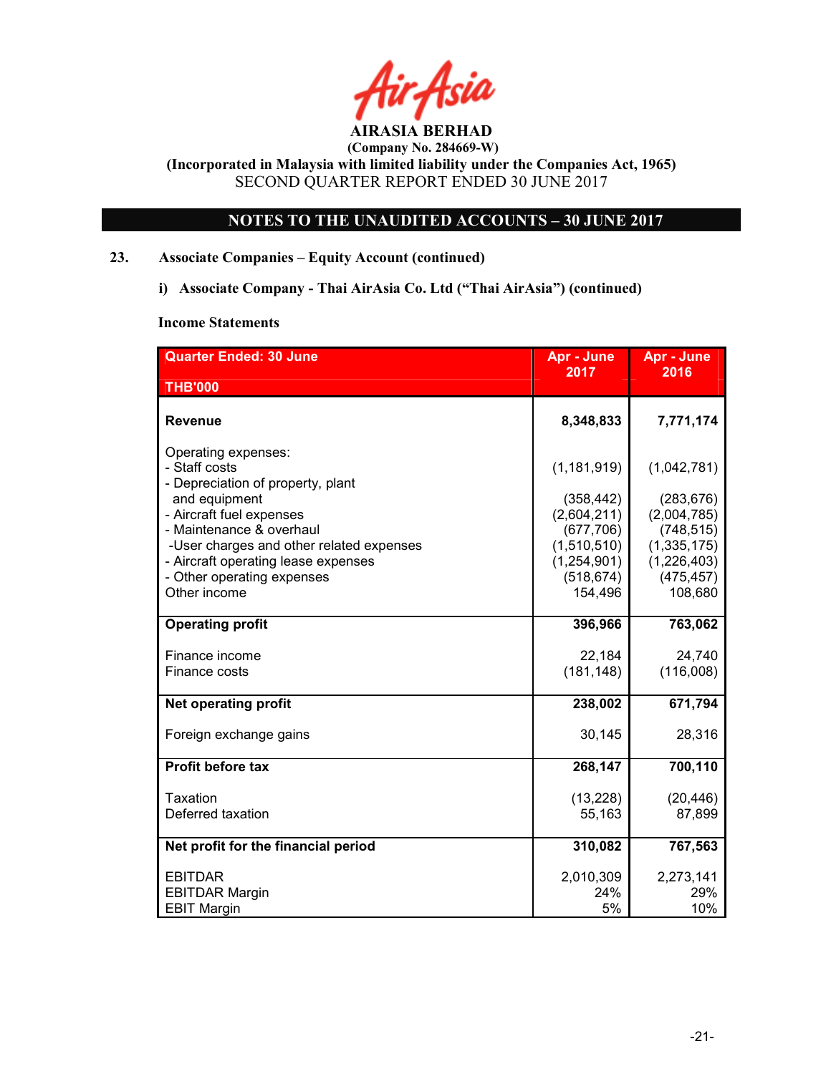

 (Company No. 284669-W) (Incorporated in Malaysia with limited liability under the Companies Act, 1965)

SECOND QUARTER REPORT ENDED 30 JUNE 2017

# NOTES TO THE UNAUDITED ACCOUNTS – 30 JUNE 2017

# 23. Associate Companies – Equity Account (continued)

i) Associate Company - Thai AirAsia Co. Ltd ("Thai AirAsia") (continued)

#### Income Statements

| <b>Quarter Ended: 30 June</b>                                                                                                                                                                                                                                                       | Apr - June                                                                                                      | Apr - June                                                                                                      |
|-------------------------------------------------------------------------------------------------------------------------------------------------------------------------------------------------------------------------------------------------------------------------------------|-----------------------------------------------------------------------------------------------------------------|-----------------------------------------------------------------------------------------------------------------|
| <b>THB'000</b>                                                                                                                                                                                                                                                                      | 2017                                                                                                            | 2016                                                                                                            |
| <b>Revenue</b>                                                                                                                                                                                                                                                                      | 8,348,833                                                                                                       | 7,771,174                                                                                                       |
| Operating expenses:<br>- Staff costs<br>- Depreciation of property, plant<br>and equipment<br>- Aircraft fuel expenses<br>- Maintenance & overhaul<br>-User charges and other related expenses<br>- Aircraft operating lease expenses<br>- Other operating expenses<br>Other income | (1, 181, 919)<br>(358, 442)<br>(2,604,211)<br>(677, 706)<br>(1,510,510)<br>(1,254,901)<br>(518, 674)<br>154,496 | (1,042,781)<br>(283, 676)<br>(2,004,785)<br>(748, 515)<br>(1, 335, 175)<br>(1,226,403)<br>(475, 457)<br>108,680 |
| <b>Operating profit</b>                                                                                                                                                                                                                                                             | 396,966                                                                                                         | 763,062                                                                                                         |
| Finance income<br>Finance costs                                                                                                                                                                                                                                                     | 22,184<br>(181, 148)                                                                                            | 24,740<br>(116,008)                                                                                             |
| <b>Net operating profit</b>                                                                                                                                                                                                                                                         | 238,002                                                                                                         | 671,794                                                                                                         |
| Foreign exchange gains                                                                                                                                                                                                                                                              | 30,145                                                                                                          | 28,316                                                                                                          |
| <b>Profit before tax</b>                                                                                                                                                                                                                                                            | 268,147                                                                                                         | 700,110                                                                                                         |
| Taxation<br>Deferred taxation                                                                                                                                                                                                                                                       | (13, 228)<br>55,163                                                                                             | (20, 446)<br>87,899                                                                                             |
| Net profit for the financial period                                                                                                                                                                                                                                                 | 310,082                                                                                                         | 767,563                                                                                                         |
| <b>EBITDAR</b><br><b>EBITDAR Margin</b><br><b>EBIT Margin</b>                                                                                                                                                                                                                       | 2,010,309<br>24%<br>5%                                                                                          | 2,273,141<br>29%<br>10%                                                                                         |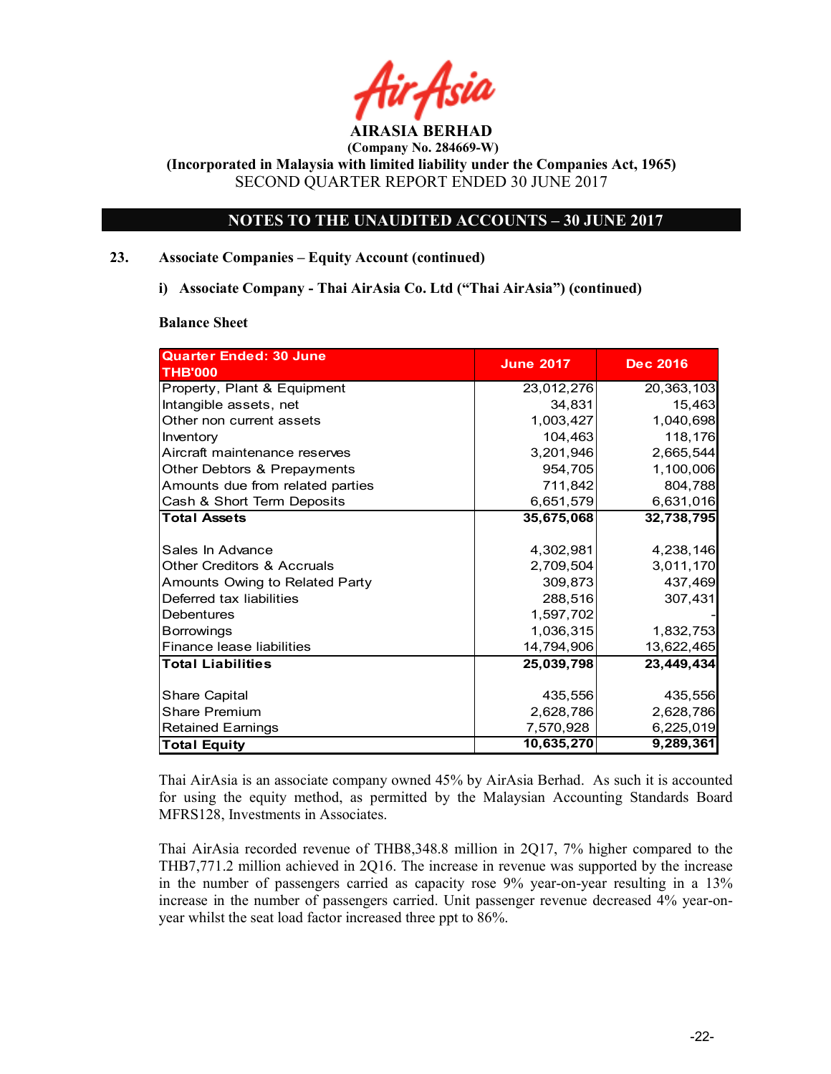

 (Company No. 284669-W) (Incorporated in Malaysia with limited liability under the Companies Act, 1965)

SECOND QUARTER REPORT ENDED 30 JUNE 2017

# NOTES TO THE UNAUDITED ACCOUNTS – 30 JUNE 2017

# 23. Associate Companies – Equity Account (continued)

i) Associate Company - Thai AirAsia Co. Ltd ("Thai AirAsia") (continued)

#### Balance Sheet

| <b>Quarter Ended: 30 June</b>     |                  |                 |
|-----------------------------------|------------------|-----------------|
| <b>THB'000</b>                    | <b>June 2017</b> | <b>Dec 2016</b> |
| Property, Plant & Equipment       | 23,012,276       | 20,363,103      |
| Intangible assets, net            | 34,831           | 15,463          |
| <b>I</b> Other non current assets | 1,003,427        | 1,040,698       |
| Inventory                         | 104,463          | 118,176         |
| Aircraft maintenance reserves     | 3,201,946        | 2,665,544       |
| Other Debtors & Prepayments       | 954,705          | 1,100,006       |
| Amounts due from related parties  | 711,842          | 804,788         |
| Cash & Short Term Deposits        | 6,651,579        | 6,631,016       |
| <b>Total Assets</b>               | 35,675,068       | 32,738,795      |
|                                   |                  |                 |
| ISales In Advance                 | 4,302,981        | 4,238,146       |
| Other Creditors & Accruals        | 2,709,504        | 3,011,170       |
| Amounts Owing to Related Party    | 309,873          | 437,469         |
| Deferred tax liabilities          | 288,516          | 307,431         |
| Debentures                        | 1,597,702        |                 |
| <b>Borrowings</b>                 | 1,036,315        | 1,832,753       |
| Finance lease liabilities         | 14,794,906       | 13,622,465      |
| <b>Total Liabilities</b>          | 25,039,798       | 23,449,434      |
|                                   |                  |                 |
| <b>Share Capital</b>              | 435,556          | 435,556         |
| <b>IShare Premium</b>             | 2,628,786        | 2,628,786       |
| <b>Retained Earnings</b>          | 7,570,928        | 6,225,019       |
| Total Equity                      | 10,635,270       | 9,289,361       |

Thai AirAsia is an associate company owned 45% by AirAsia Berhad. As such it is accounted for using the equity method, as permitted by the Malaysian Accounting Standards Board MFRS128, Investments in Associates.

Thai AirAsia recorded revenue of THB8,348.8 million in 2Q17, 7% higher compared to the THB7,771.2 million achieved in 2Q16. The increase in revenue was supported by the increase in the number of passengers carried as capacity rose 9% year-on-year resulting in a 13% increase in the number of passengers carried. Unit passenger revenue decreased 4% year-onyear whilst the seat load factor increased three ppt to 86%.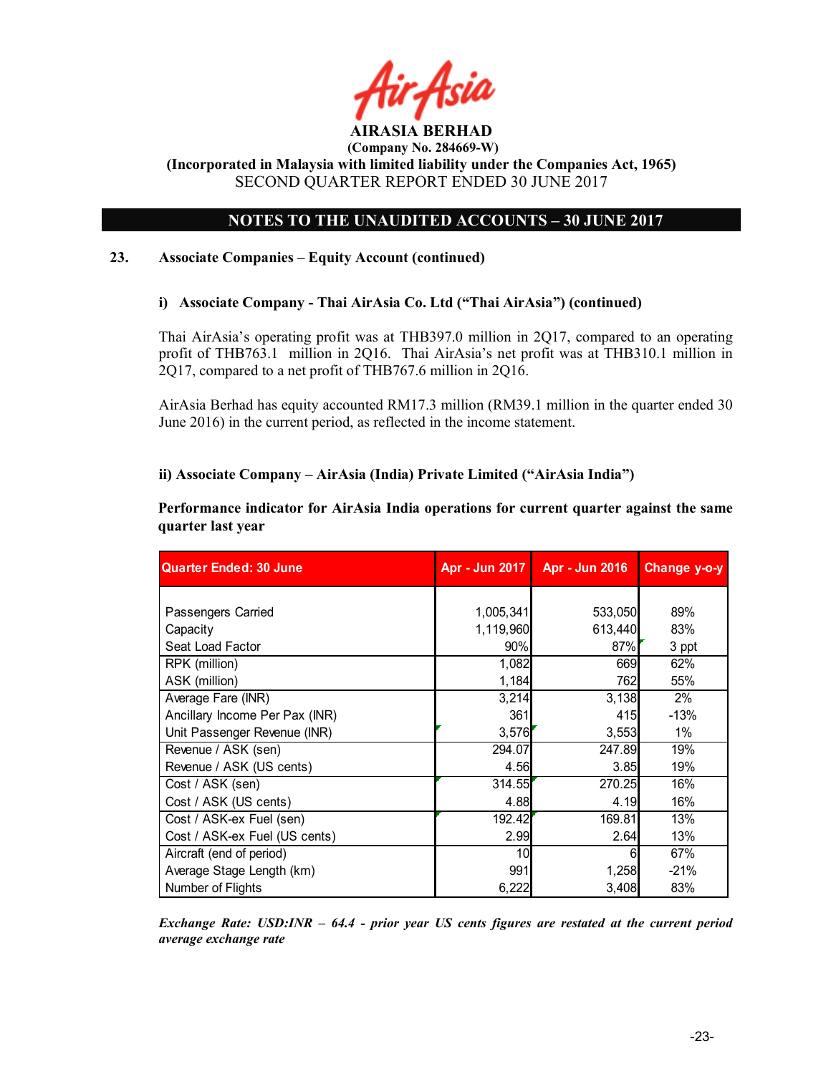

# NOTES TO THE UNAUDITED ACCOUNTS – 30 JUNE 2017

# 23. Associate Companies – Equity Account (continued)

 $\overline{a}$ 

# i) Associate Company - Thai AirAsia Co. Ltd ("Thai AirAsia") (continued)

Thai AirAsia's operating profit was at THB397.0 million in 2Q17, compared to an operating profit of THB763.1 million in 2Q16. Thai AirAsia's net profit was at THB310.1 million in 2Q17, compared to a net profit of THB767.6 million in 2Q16.

AirAsia Berhad has equity accounted RM17.3 million (RM39.1 million in the quarter ended 30 June 2016) in the current period, as reflected in the income statement.

# ii) Associate Company – AirAsia (India) Private Limited ("AirAsia India")

Performance indicator for AirAsia India operations for current quarter against the same quarter last year

| <b>Quarter Ended: 30 June</b>  | Apr - Jun 2017 | Apr - Jun 2016 | Change y-o-y |
|--------------------------------|----------------|----------------|--------------|
|                                |                |                |              |
| Passengers Carried             | 1,005,341      | 533,050        | 89%          |
| Capacity                       | 1,119,960      | 613,440        | 83%          |
| Seat Load Factor               | 90%            | 87%            | 3 ppt        |
| RPK (million)                  | 1,082          | 669            | 62%          |
| ASK (million)                  | 1,184          | 762            | 55%          |
| Average Fare (INR)             | 3,214          | 3,138          | $2\%$        |
| Ancillary Income Per Pax (INR) | 361            | 415            | $-13%$       |
| Unit Passenger Revenue (INR)   | 3,576          | 3,553          | $1\%$        |
| Revenue / ASK (sen)            | 294.07         | 247.89         | 19%          |
| Revenue / ASK (US cents)       | 4.56           | 3.85           | 19%          |
| Cost / ASK (sen)               | 314.55         | 270.25         | 16%          |
| Cost / ASK (US cents)          | 4.88           | 4.19           | 16%          |
| Cost / ASK-ex Fuel (sen)       | 192.42         | 169.81         | 13%          |
| Cost / ASK-ex Fuel (US cents)  | 2.99           | 2.64           | 13%          |
| Aircraft (end of period)       | 10             | 6              | 67%          |
| Average Stage Length (km)      | 991            | 1,258          | $-21%$       |
| Number of Flights              | 6,222          | 3,408          | 83%          |

Exchange Rate: USD:INR – 64.4 - prior year US cents figures are restated at the current period average exchange rate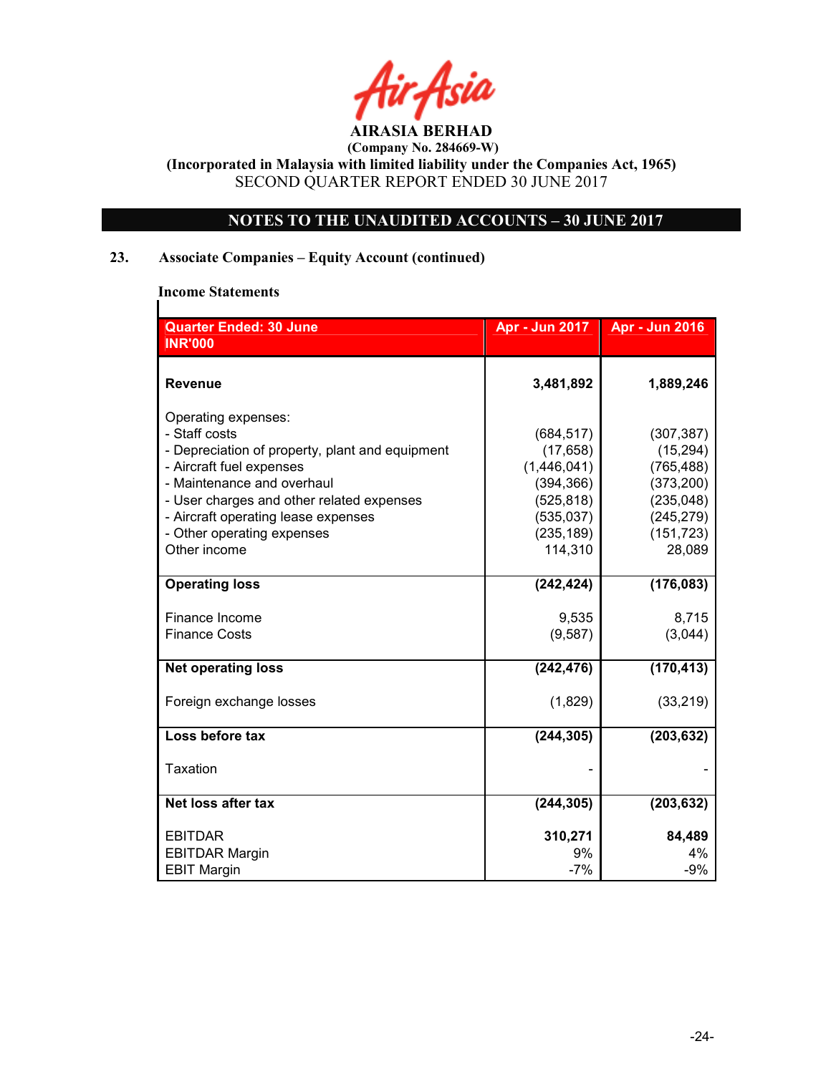AIRASIA BERHAD

# NOTES TO THE UNAUDITED ACCOUNTS – 30 JUNE 2017

# 23. Associate Companies – Equity Account (continued)

# Income Statements

 $\mathsf{l}$ 

| <b>Quarter Ended: 30 June</b>                                                                                                                                                                                                                                                       | Apr - Jun 2017                                                                                            | <b>Apr - Jun 2016</b>                                                                                   |
|-------------------------------------------------------------------------------------------------------------------------------------------------------------------------------------------------------------------------------------------------------------------------------------|-----------------------------------------------------------------------------------------------------------|---------------------------------------------------------------------------------------------------------|
| <b>INR'000</b>                                                                                                                                                                                                                                                                      |                                                                                                           |                                                                                                         |
| <b>Revenue</b>                                                                                                                                                                                                                                                                      | 3,481,892                                                                                                 | 1,889,246                                                                                               |
| Operating expenses:<br>- Staff costs<br>- Depreciation of property, plant and equipment<br>- Aircraft fuel expenses<br>- Maintenance and overhaul<br>- User charges and other related expenses<br>- Aircraft operating lease expenses<br>- Other operating expenses<br>Other income | (684, 517)<br>(17, 658)<br>(1,446,041)<br>(394, 366)<br>(525, 818)<br>(535, 037)<br>(235, 189)<br>114,310 | (307, 387)<br>(15, 294)<br>(765, 488)<br>(373, 200)<br>(235, 048)<br>(245, 279)<br>(151, 723)<br>28,089 |
| <b>Operating loss</b>                                                                                                                                                                                                                                                               | (242, 424)                                                                                                | (176, 083)                                                                                              |
| Finance Income<br><b>Finance Costs</b>                                                                                                                                                                                                                                              | 9,535<br>(9,587)                                                                                          | 8,715<br>(3,044)                                                                                        |
| <b>Net operating loss</b>                                                                                                                                                                                                                                                           | (242, 476)                                                                                                | (170, 413)                                                                                              |
| Foreign exchange losses                                                                                                                                                                                                                                                             | (1,829)                                                                                                   | (33, 219)                                                                                               |
| Loss before tax                                                                                                                                                                                                                                                                     | (244, 305)                                                                                                | (203, 632)                                                                                              |
| Taxation                                                                                                                                                                                                                                                                            |                                                                                                           |                                                                                                         |
| Net loss after tax                                                                                                                                                                                                                                                                  | (244, 305)                                                                                                | (203, 632)                                                                                              |
| <b>EBITDAR</b><br><b>EBITDAR Margin</b><br><b>EBIT Margin</b>                                                                                                                                                                                                                       | 310,271<br>9%<br>$-7%$                                                                                    | 84,489<br>4%<br>$-9%$                                                                                   |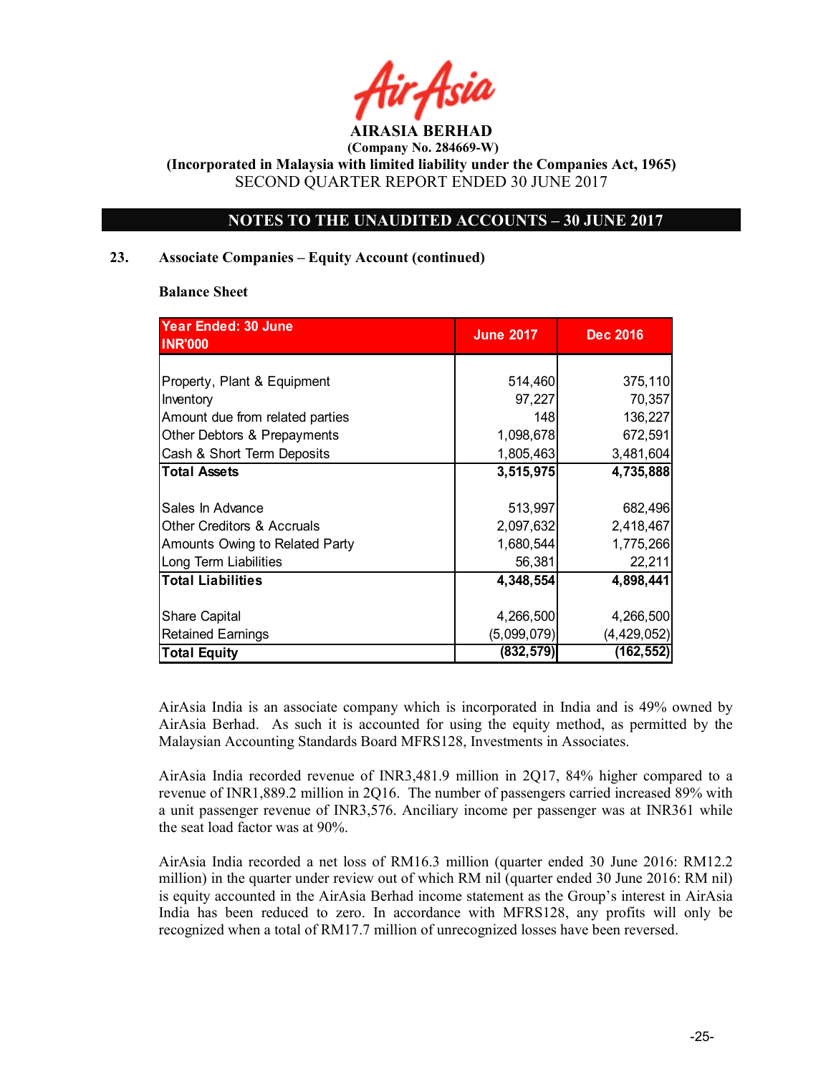

# NOTES TO THE UNAUDITED ACCOUNTS – 30 JUNE 2017

# 23. Associate Companies – Equity Account (continued)

#### Balance Sheet

| <b>Year Ended: 30 June</b><br><b>INR'000</b> | <b>June 2017</b> | <b>Dec 2016</b> |
|----------------------------------------------|------------------|-----------------|
|                                              |                  |                 |
| Property, Plant & Equipment                  | 514,460          | 375,110         |
| Inventory                                    | 97,227           | 70,357          |
| Amount due from related parties              | 148              | 136,227         |
| Other Debtors & Prepayments                  | 1,098,678        | 672,591         |
| Cash & Short Term Deposits                   | 1,805,463        | 3,481,604       |
| <b>Total Assets</b>                          | 3,515,975        | 4,735,888       |
|                                              |                  |                 |
| Sales In Advance                             | 513,997          | 682,496         |
| <b>Other Creditors &amp; Accruals</b>        | 2,097,632        | 2,418,467       |
| Amounts Owing to Related Party               | 1,680,544        | 1,775,266       |
| Long Term Liabilities                        | 56,381           | 22,211          |
| <b>Total Liabilities</b>                     | 4,348,554        | 4,898,441       |
|                                              |                  |                 |
| <b>Share Capital</b>                         | 4,266,500        | 4,266,500       |
| <b>Retained Earnings</b>                     | (5,099,079)      | (4, 429, 052)   |
| <b>Total Equity</b>                          | (832, 579)       | (162,552)       |

AirAsia India is an associate company which is incorporated in India and is 49% owned by AirAsia Berhad. As such it is accounted for using the equity method, as permitted by the Malaysian Accounting Standards Board MFRS128, Investments in Associates.

AirAsia India recorded revenue of INR3,481.9 million in 2Q17, 84% higher compared to a revenue of INR1,889.2 million in 2Q16. The number of passengers carried increased 89% with a unit passenger revenue of INR3,576. Anciliary income per passenger was at INR361 while the seat load factor was at 90%.

AirAsia India recorded a net loss of RM16.3 million (quarter ended 30 June 2016: RM12.2 million) in the quarter under review out of which RM nil (quarter ended 30 June 2016: RM nil) is equity accounted in the AirAsia Berhad income statement as the Group's interest in AirAsia India has been reduced to zero. In accordance with MFRS128, any profits will only be recognized when a total of RM17.7 million of unrecognized losses have been reversed.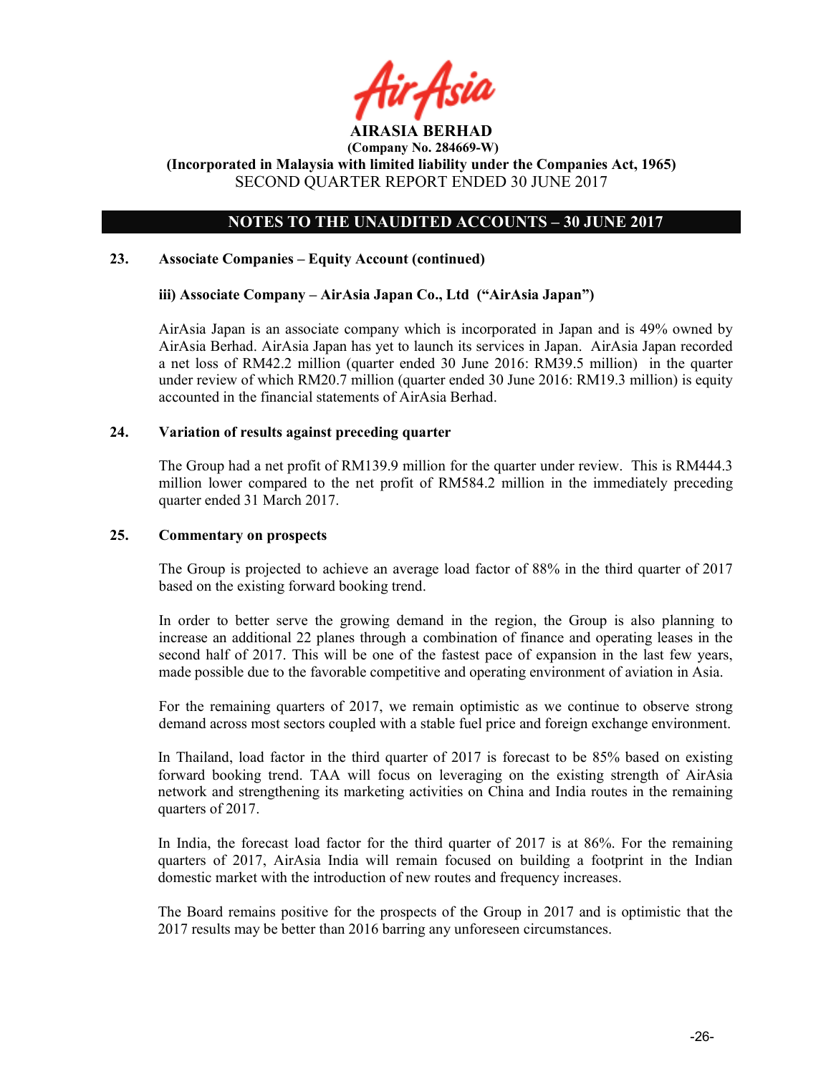

# NOTES TO THE UNAUDITED ACCOUNTS – 30 JUNE 2017

## 23. Associate Companies – Equity Account (continued)

#### iii) Associate Company – AirAsia Japan Co., Ltd ("AirAsia Japan")

AirAsia Japan is an associate company which is incorporated in Japan and is 49% owned by AirAsia Berhad. AirAsia Japan has yet to launch its services in Japan. AirAsia Japan recorded a net loss of RM42.2 million (quarter ended 30 June 2016: RM39.5 million) in the quarter under review of which RM20.7 million (quarter ended 30 June 2016: RM19.3 million) is equity accounted in the financial statements of AirAsia Berhad.

# 24. Variation of results against preceding quarter

The Group had a net profit of RM139.9 million for the quarter under review. This is RM444.3 million lower compared to the net profit of RM584.2 million in the immediately preceding quarter ended 31 March 2017.

#### 25. Commentary on prospects

The Group is projected to achieve an average load factor of 88% in the third quarter of 2017 based on the existing forward booking trend.

In order to better serve the growing demand in the region, the Group is also planning to increase an additional 22 planes through a combination of finance and operating leases in the second half of 2017. This will be one of the fastest pace of expansion in the last few years, made possible due to the favorable competitive and operating environment of aviation in Asia.

For the remaining quarters of 2017, we remain optimistic as we continue to observe strong demand across most sectors coupled with a stable fuel price and foreign exchange environment.

In Thailand, load factor in the third quarter of 2017 is forecast to be 85% based on existing forward booking trend. TAA will focus on leveraging on the existing strength of AirAsia network and strengthening its marketing activities on China and India routes in the remaining quarters of 2017.

In India, the forecast load factor for the third quarter of 2017 is at 86%. For the remaining quarters of 2017, AirAsia India will remain focused on building a footprint in the Indian domestic market with the introduction of new routes and frequency increases.

The Board remains positive for the prospects of the Group in 2017 and is optimistic that the 2017 results may be better than 2016 barring any unforeseen circumstances.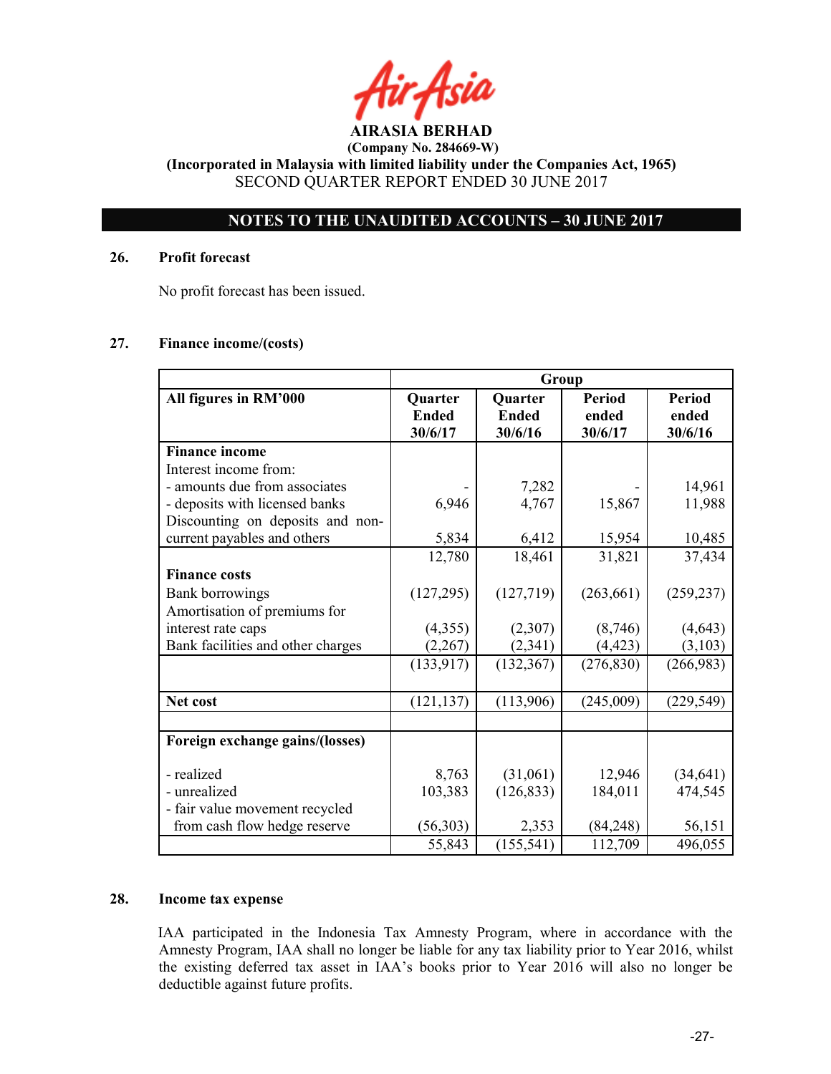# NOTES TO THE UNAUDITED ACCOUNTS – 30 JUNE 2017

## 26. Profit forecast

No profit forecast has been issued.

# 27. Finance income/(costs)

|                                   | Group                              |                                           |                                   |                                   |
|-----------------------------------|------------------------------------|-------------------------------------------|-----------------------------------|-----------------------------------|
| All figures in RM'000             | Quarter<br><b>Ended</b><br>30/6/17 | <b>Quarter</b><br><b>Ended</b><br>30/6/16 | <b>Period</b><br>ended<br>30/6/17 | <b>Period</b><br>ended<br>30/6/16 |
| <b>Finance income</b>             |                                    |                                           |                                   |                                   |
| Interest income from:             |                                    |                                           |                                   |                                   |
| - amounts due from associates     |                                    | 7,282                                     |                                   | 14,961                            |
| - deposits with licensed banks    | 6,946                              | 4,767                                     | 15,867                            | 11,988                            |
| Discounting on deposits and non-  |                                    |                                           |                                   |                                   |
| current payables and others       | 5,834                              | 6,412                                     | 15,954                            | 10,485                            |
|                                   | 12,780                             | 18,461                                    | 31,821                            | 37,434                            |
| <b>Finance costs</b>              |                                    |                                           |                                   |                                   |
| <b>Bank borrowings</b>            | (127, 295)                         | (127, 719)                                | (263, 661)                        | (259, 237)                        |
| Amortisation of premiums for      |                                    |                                           |                                   |                                   |
| interest rate caps                | (4,355)                            | (2,307)                                   | (8,746)                           | (4, 643)                          |
| Bank facilities and other charges | (2,267)                            | (2,341)                                   | (4, 423)                          | (3,103)                           |
|                                   | (133, 917)                         | (132, 367)                                | (276, 830)                        | (266,983)                         |
|                                   |                                    |                                           |                                   |                                   |
| Net cost                          | (121, 137)                         | (113,906)                                 | (245,009)                         | (229, 549)                        |
|                                   |                                    |                                           |                                   |                                   |
| Foreign exchange gains/(losses)   |                                    |                                           |                                   |                                   |
| - realized                        | 8,763                              | (31,061)                                  | 12,946                            | (34, 641)                         |
| - unrealized                      | 103,383                            | (126, 833)                                | 184,011                           | 474,545                           |
| - fair value movement recycled    |                                    |                                           |                                   |                                   |
| from cash flow hedge reserve      | (56,303)                           | 2,353                                     | (84,248)                          | 56,151                            |
|                                   | 55,843                             | (155, 541)                                | 112,709                           | 496,055                           |

#### 28. Income tax expense

IAA participated in the Indonesia Tax Amnesty Program, where in accordance with the Amnesty Program, IAA shall no longer be liable for any tax liability prior to Year 2016, whilst the existing deferred tax asset in IAA's books prior to Year 2016 will also no longer be deductible against future profits.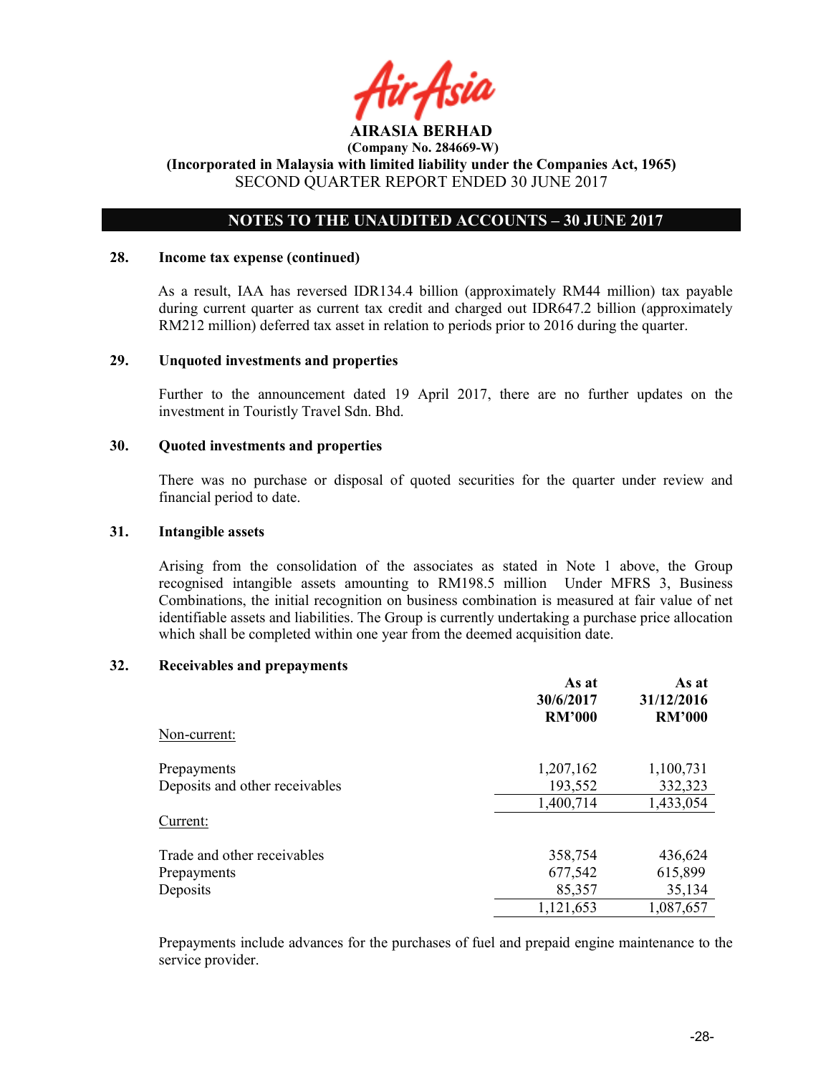

# NOTES TO THE UNAUDITED ACCOUNTS – 30 JUNE 2017

#### 28. Income tax expense (continued)

As a result, IAA has reversed IDR134.4 billion (approximately RM44 million) tax payable during current quarter as current tax credit and charged out IDR647.2 billion (approximately RM212 million) deferred tax asset in relation to periods prior to 2016 during the quarter.

#### 29. Unquoted investments and properties

Further to the announcement dated 19 April 2017, there are no further updates on the investment in Touristly Travel Sdn. Bhd.

#### 30. Quoted investments and properties

There was no purchase or disposal of quoted securities for the quarter under review and financial period to date.

### 31. Intangible assets

Arising from the consolidation of the associates as stated in Note 1 above, the Group recognised intangible assets amounting to RM198.5 million Under MFRS 3, Business Combinations, the initial recognition on business combination is measured at fair value of net identifiable assets and liabilities. The Group is currently undertaking a purchase price allocation which shall be completed within one year from the deemed acquisition date.

#### 32. Receivables and prepayments

|                                | As at<br>30/6/2017<br><b>RM'000</b> | As at<br>31/12/2016<br><b>RM'000</b> |
|--------------------------------|-------------------------------------|--------------------------------------|
| Non-current:                   |                                     |                                      |
| Prepayments                    | 1,207,162                           | 1,100,731                            |
| Deposits and other receivables | 193,552                             | 332,323                              |
|                                | 1,400,714                           | 1,433,054                            |
| Current:                       |                                     |                                      |
| Trade and other receivables    | 358,754                             | 436,624                              |
| Prepayments                    | 677,542                             | 615,899                              |
| Deposits                       | 85,357                              | 35,134                               |
|                                | 1,121,653                           | 1,087,657                            |

Prepayments include advances for the purchases of fuel and prepaid engine maintenance to the service provider.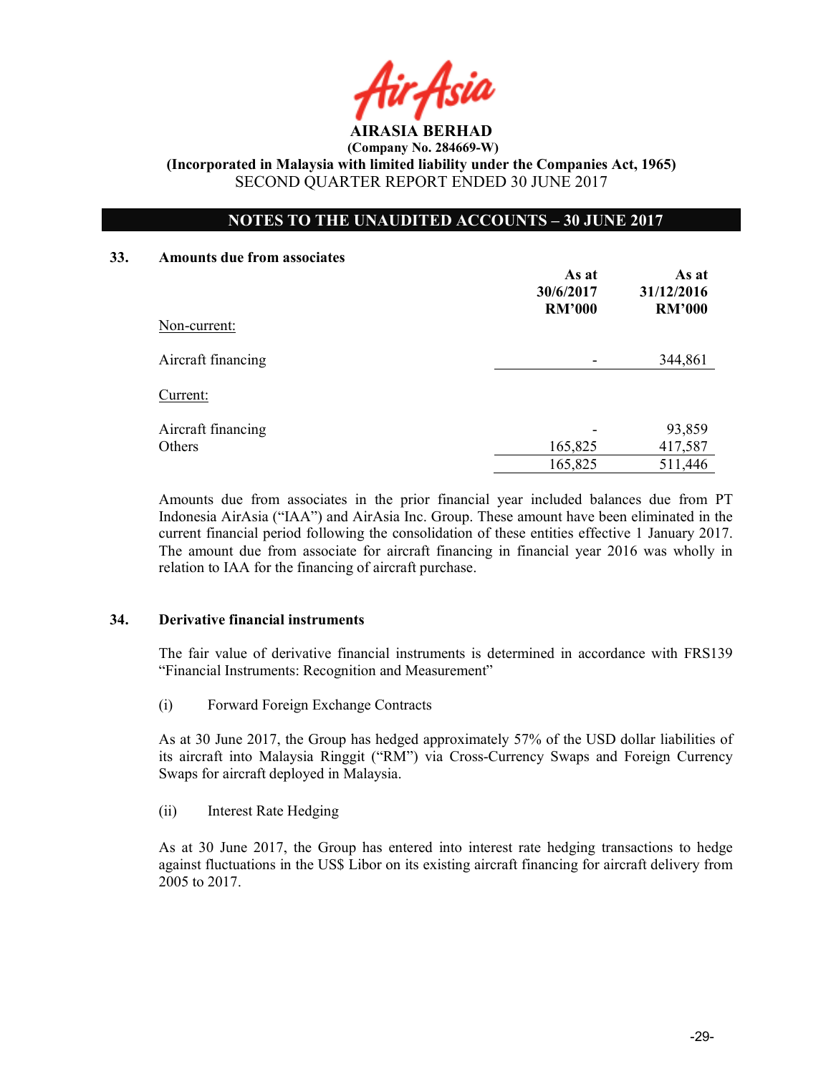AIRASIA BERHAD

# NOTES TO THE UNAUDITED ACCOUNTS – 30 JUNE 2017

#### 33. Amounts due from associates

| Non-current:       | As at<br>30/6/2017<br><b>RM'000</b> | As at<br>31/12/2016<br><b>RM'000</b> |
|--------------------|-------------------------------------|--------------------------------------|
| Aircraft financing |                                     | 344,861                              |
| Current:           |                                     |                                      |
| Aircraft financing |                                     | 93,859                               |
| Others             | 165,825                             | 417,587                              |
|                    | 165,825                             | 511,446                              |

Amounts due from associates in the prior financial year included balances due from PT Indonesia AirAsia ("IAA") and AirAsia Inc. Group. These amount have been eliminated in the current financial period following the consolidation of these entities effective 1 January 2017. The amount due from associate for aircraft financing in financial year 2016 was wholly in relation to IAA for the financing of aircraft purchase.

# 34. Derivative financial instruments

The fair value of derivative financial instruments is determined in accordance with FRS139 "Financial Instruments: Recognition and Measurement"

(i) Forward Foreign Exchange Contracts

As at 30 June 2017, the Group has hedged approximately 57% of the USD dollar liabilities of its aircraft into Malaysia Ringgit ("RM") via Cross-Currency Swaps and Foreign Currency Swaps for aircraft deployed in Malaysia.

(ii) Interest Rate Hedging

As at 30 June 2017, the Group has entered into interest rate hedging transactions to hedge against fluctuations in the US\$ Libor on its existing aircraft financing for aircraft delivery from 2005 to 2017.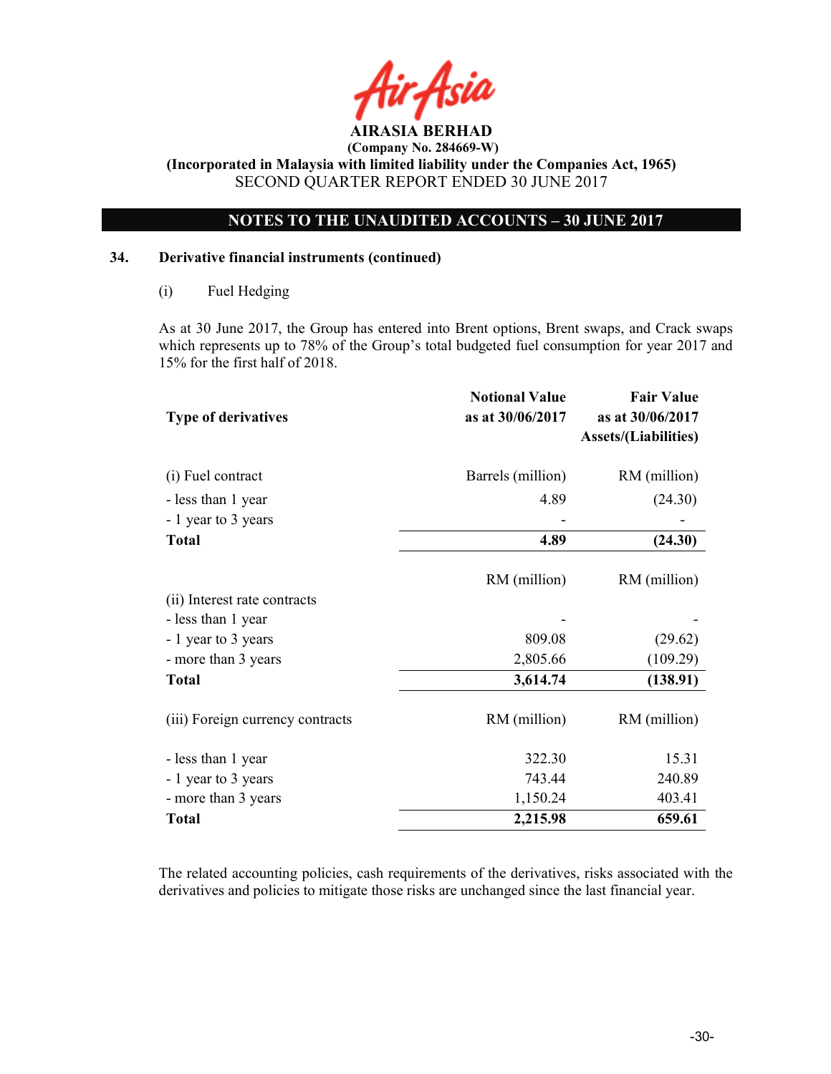

# NOTES TO THE UNAUDITED ACCOUNTS – 30 JUNE 2017

# 34. Derivative financial instruments (continued)

(i) Fuel Hedging

As at 30 June 2017, the Group has entered into Brent options, Brent swaps, and Crack swaps which represents up to 78% of the Group's total budgeted fuel consumption for year 2017 and 15% for the first half of 2018.

| <b>Type of derivatives</b>       | <b>Notional Value</b><br>as at 30/06/2017 | <b>Fair Value</b><br>as at 30/06/2017<br><b>Assets/(Liabilities)</b> |
|----------------------------------|-------------------------------------------|----------------------------------------------------------------------|
| (i) Fuel contract                | Barrels (million)                         | RM (million)                                                         |
| - less than 1 year               | 4.89                                      | (24.30)                                                              |
| - 1 year to 3 years              |                                           |                                                                      |
| <b>Total</b>                     | 4.89                                      | (24.30)                                                              |
| (ii) Interest rate contracts     | RM (million)                              | RM (million)                                                         |
| - less than 1 year               |                                           |                                                                      |
| - 1 year to 3 years              | 809.08                                    | (29.62)                                                              |
| - more than 3 years              | 2,805.66                                  | (109.29)                                                             |
| <b>Total</b>                     | 3,614.74                                  | (138.91)                                                             |
| (iii) Foreign currency contracts | RM (million)                              | RM (million)                                                         |
| - less than 1 year               | 322.30                                    | 15.31                                                                |
| - 1 year to 3 years              | 743.44                                    | 240.89                                                               |
| - more than 3 years              | 1,150.24                                  | 403.41                                                               |
| <b>Total</b>                     | 2,215.98                                  | 659.61                                                               |

The related accounting policies, cash requirements of the derivatives, risks associated with the derivatives and policies to mitigate those risks are unchanged since the last financial year.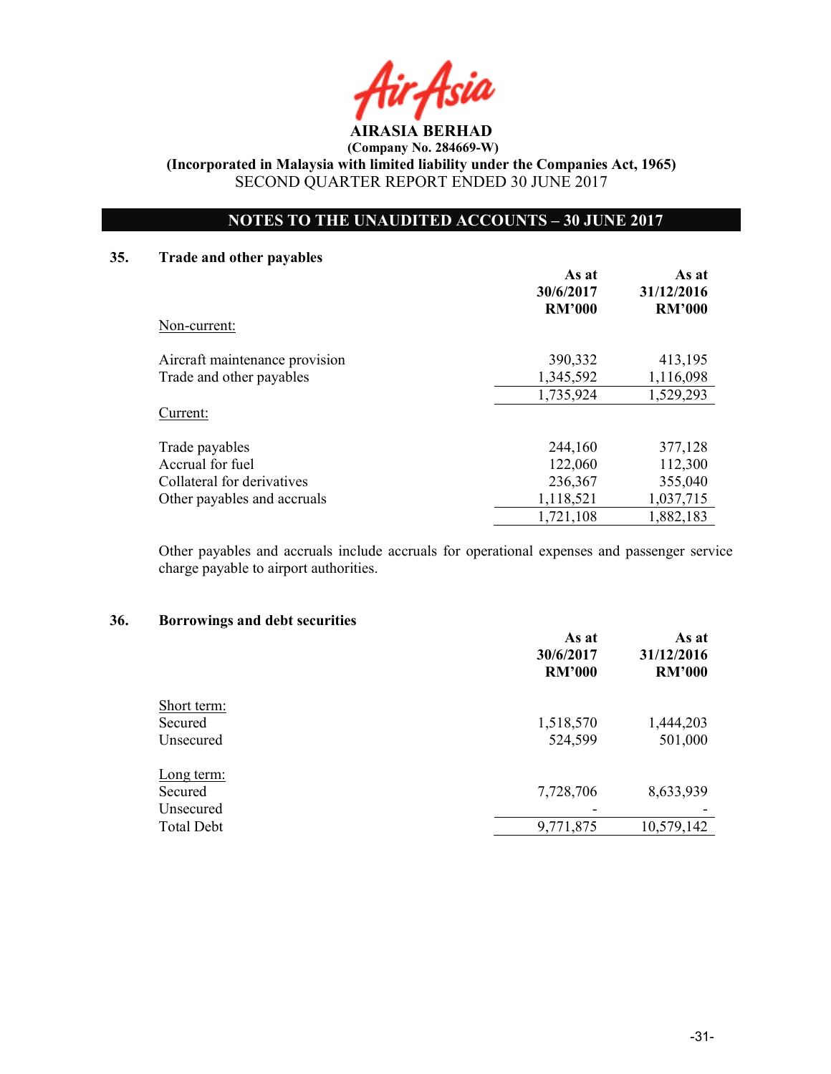AIRASIA BERHAD

 (Company No. 284669-W) (Incorporated in Malaysia with limited liability under the Companies Act, 1965)

SECOND QUARTER REPORT ENDED 30 JUNE 2017

# NOTES TO THE UNAUDITED ACCOUNTS – 30 JUNE 2017

# 35. Trade and other payables

|                                | As at<br>30/6/2017<br><b>RM'000</b> | As at<br>31/12/2016<br><b>RM'000</b> |
|--------------------------------|-------------------------------------|--------------------------------------|
| Non-current:                   |                                     |                                      |
| Aircraft maintenance provision | 390,332                             | 413,195                              |
| Trade and other payables       | 1,345,592                           | 1,116,098                            |
|                                | 1,735,924                           | 1,529,293                            |
| Current:                       |                                     |                                      |
| Trade payables                 | 244,160                             | 377,128                              |
| Accrual for fuel               | 122,060                             | 112,300                              |
| Collateral for derivatives     | 236,367                             | 355,040                              |
| Other payables and accruals    | 1,118,521                           | 1,037,715                            |
|                                | 1,721,108                           | 1,882,183                            |

Other payables and accruals include accruals for operational expenses and passenger service charge payable to airport authorities.

#### 36. Borrowings and debt securities

|                   | As at<br>30/6/2017<br><b>RM'000</b> | As at<br>31/12/2016<br><b>RM'000</b> |
|-------------------|-------------------------------------|--------------------------------------|
| Short term:       |                                     |                                      |
| Secured           | 1,518,570                           | 1,444,203                            |
| Unsecured         | 524,599                             | 501,000                              |
| Long term:        |                                     |                                      |
| Secured           | 7,728,706                           | 8,633,939                            |
| Unsecured         |                                     |                                      |
| <b>Total Debt</b> | 9,771,875                           | 10,579,142                           |
|                   |                                     |                                      |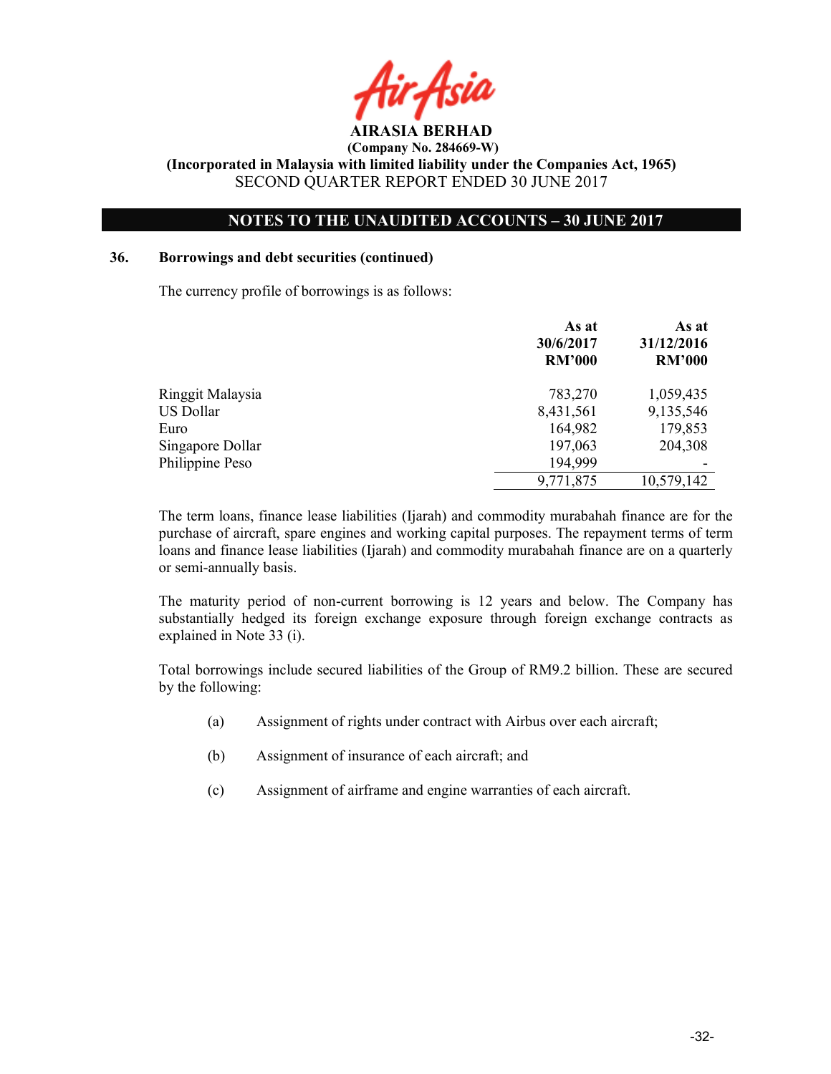AIRASIA BERHAD

# NOTES TO THE UNAUDITED ACCOUNTS – 30 JUNE 2017

# 36. Borrowings and debt securities (continued)

The currency profile of borrowings is as follows:

|                  | As at<br>30/6/2017<br><b>RM'000</b> | As at<br>31/12/2016<br><b>RM'000</b> |
|------------------|-------------------------------------|--------------------------------------|
| Ringgit Malaysia | 783,270                             | 1,059,435                            |
| <b>US Dollar</b> | 8,431,561                           | 9,135,546                            |
| Euro             | 164,982                             | 179,853                              |
| Singapore Dollar | 197,063                             | 204,308                              |
| Philippine Peso  | 194,999                             |                                      |
|                  | 9,771,875                           | 10,579,142                           |

The term loans, finance lease liabilities (Ijarah) and commodity murabahah finance are for the purchase of aircraft, spare engines and working capital purposes. The repayment terms of term loans and finance lease liabilities (Ijarah) and commodity murabahah finance are on a quarterly or semi-annually basis.

The maturity period of non-current borrowing is 12 years and below. The Company has substantially hedged its foreign exchange exposure through foreign exchange contracts as explained in Note 33 (i).

Total borrowings include secured liabilities of the Group of RM9.2 billion. These are secured by the following:

- (a) Assignment of rights under contract with Airbus over each aircraft;
- (b) Assignment of insurance of each aircraft; and
- (c) Assignment of airframe and engine warranties of each aircraft.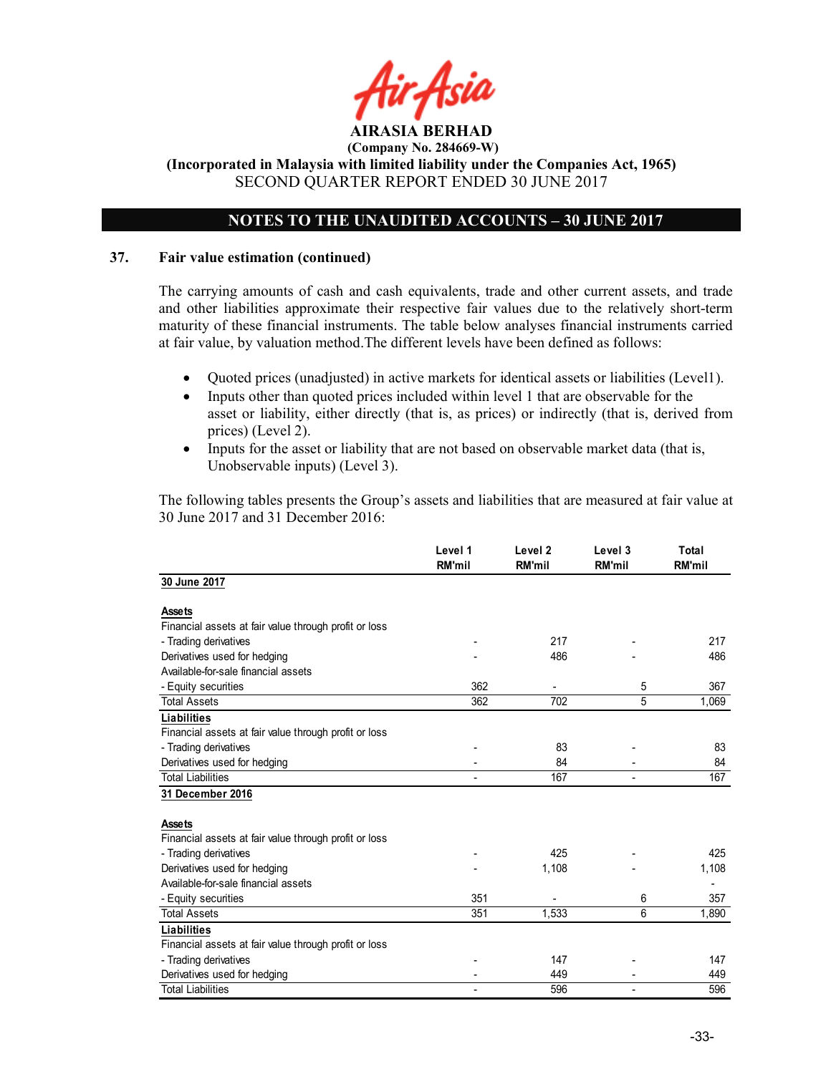

# NOTES TO THE UNAUDITED ACCOUNTS – 30 JUNE 2017

# 37. Fair value estimation (continued)

The carrying amounts of cash and cash equivalents, trade and other current assets, and trade and other liabilities approximate their respective fair values due to the relatively short-term maturity of these financial instruments. The table below analyses financial instruments carried at fair value, by valuation method.The different levels have been defined as follows:

- Quoted prices (unadjusted) in active markets for identical assets or liabilities (Level1).
- Inputs other than quoted prices included within level 1 that are observable for the asset or liability, either directly (that is, as prices) or indirectly (that is, derived from prices) (Level 2).
- Inputs for the asset or liability that are not based on observable market data (that is, Unobservable inputs) (Level 3).

The following tables presents the Group's assets and liabilities that are measured at fair value at 30 June 2017 and 31 December 2016:

|                                                       | Level 1<br><b>RM'mil</b> | Level <sub>2</sub><br><b>RM'mil</b> | Level 3<br><b>RM'mil</b> | Total<br><b>RM'mil</b> |
|-------------------------------------------------------|--------------------------|-------------------------------------|--------------------------|------------------------|
| 30 June 2017                                          |                          |                                     |                          |                        |
| <b>Assets</b>                                         |                          |                                     |                          |                        |
| Financial assets at fair value through profit or loss |                          |                                     |                          |                        |
| - Trading derivatives                                 |                          | 217                                 |                          | 217                    |
| Derivatives used for hedging                          |                          | 486                                 |                          | 486                    |
| Available-for-sale financial assets                   |                          |                                     |                          |                        |
| - Equity securities                                   | 362                      |                                     | 5                        | 367                    |
| <b>Total Assets</b>                                   | 362                      | 702                                 | 5                        | 1,069                  |
| <b>Liabilities</b>                                    |                          |                                     |                          |                        |
| Financial assets at fair value through profit or loss |                          |                                     |                          |                        |
| - Trading derivatives                                 |                          | 83                                  |                          | 83                     |
| Derivatives used for hedging                          |                          | 84                                  |                          | 84                     |
| <b>Total Liabilities</b>                              | ÷                        | 167                                 | $\blacksquare$           | 167                    |
| 31 December 2016                                      |                          |                                     |                          |                        |
| <b>Assets</b>                                         |                          |                                     |                          |                        |
| Financial assets at fair value through profit or loss |                          |                                     |                          |                        |
| - Trading derivatives                                 |                          | 425                                 |                          | 425                    |
| Derivatives used for hedging                          |                          | 1,108                               |                          | 1,108                  |
| Available-for-sale financial assets                   |                          |                                     |                          |                        |
| - Equity securities                                   | 351                      |                                     | 6                        | 357                    |
| <b>Total Assets</b>                                   | 351                      | 1,533                               | 6                        | 1,890                  |
| Liabilities                                           |                          |                                     |                          |                        |
| Financial assets at fair value through profit or loss |                          |                                     |                          |                        |
| - Trading derivatives                                 |                          | 147                                 |                          | 147                    |
| Derivatives used for hedging                          |                          | 449                                 |                          | 449                    |
| <b>Total Liabilities</b>                              |                          | 596                                 |                          | 596                    |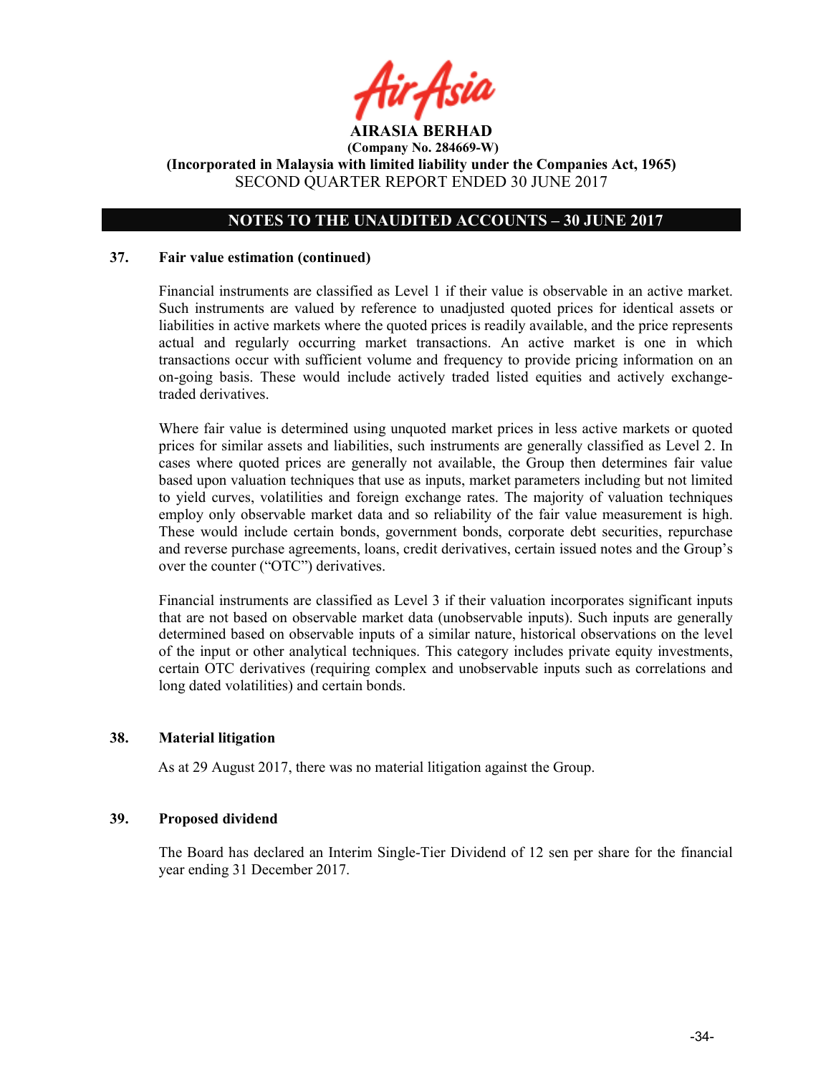

# NOTES TO THE UNAUDITED ACCOUNTS – 30 JUNE 2017

#### 37. Fair value estimation (continued)

Financial instruments are classified as Level 1 if their value is observable in an active market. Such instruments are valued by reference to unadjusted quoted prices for identical assets or liabilities in active markets where the quoted prices is readily available, and the price represents actual and regularly occurring market transactions. An active market is one in which transactions occur with sufficient volume and frequency to provide pricing information on an on-going basis. These would include actively traded listed equities and actively exchangetraded derivatives.

Where fair value is determined using unquoted market prices in less active markets or quoted prices for similar assets and liabilities, such instruments are generally classified as Level 2. In cases where quoted prices are generally not available, the Group then determines fair value based upon valuation techniques that use as inputs, market parameters including but not limited to yield curves, volatilities and foreign exchange rates. The majority of valuation techniques employ only observable market data and so reliability of the fair value measurement is high. These would include certain bonds, government bonds, corporate debt securities, repurchase and reverse purchase agreements, loans, credit derivatives, certain issued notes and the Group's over the counter ("OTC") derivatives.

Financial instruments are classified as Level 3 if their valuation incorporates significant inputs that are not based on observable market data (unobservable inputs). Such inputs are generally determined based on observable inputs of a similar nature, historical observations on the level of the input or other analytical techniques. This category includes private equity investments, certain OTC derivatives (requiring complex and unobservable inputs such as correlations and long dated volatilities) and certain bonds.

# 38. Material litigation

As at 29 August 2017, there was no material litigation against the Group.

#### 39. Proposed dividend

The Board has declared an Interim Single-Tier Dividend of 12 sen per share for the financial year ending 31 December 2017.